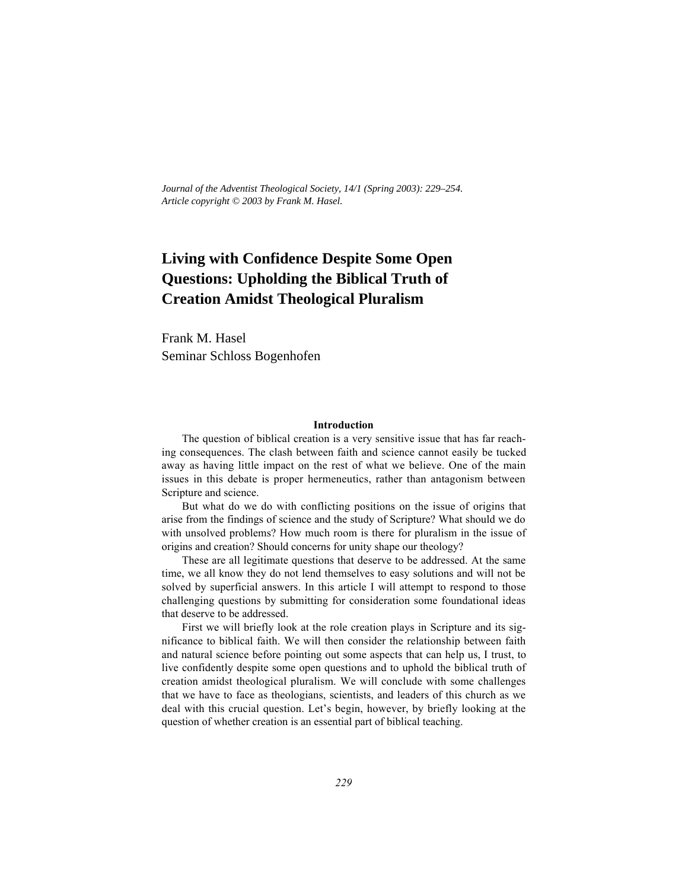*Journal of the Adventist Theological Society, 14/1 (Spring 2003): 229–254. Article copyright © 2003 by Frank M. Hasel.*

# **Living with Confidence Despite Some Open Questions: Upholding the Biblical Truth of Creation Amidst Theological Pluralism**

Frank M. Hasel Seminar Schloss Bogenhofen

#### **Introduction**

The question of biblical creation is a very sensitive issue that has far reaching consequences. The clash between faith and science cannot easily be tucked away as having little impact on the rest of what we believe. One of the main issues in this debate is proper hermeneutics, rather than antagonism between Scripture and science.

But what do we do with conflicting positions on the issue of origins that arise from the findings of science and the study of Scripture? What should we do with unsolved problems? How much room is there for pluralism in the issue of origins and creation? Should concerns for unity shape our theology?

These are all legitimate questions that deserve to be addressed. At the same time, we all know they do not lend themselves to easy solutions and will not be solved by superficial answers. In this article I will attempt to respond to those challenging questions by submitting for consideration some foundational ideas that deserve to be addressed.

First we will briefly look at the role creation plays in Scripture and its significance to biblical faith. We will then consider the relationship between faith and natural science before pointing out some aspects that can help us, I trust, to live confidently despite some open questions and to uphold the biblical truth of creation amidst theological pluralism. We will conclude with some challenges that we have to face as theologians, scientists, and leaders of this church as we deal with this crucial question. Let's begin, however, by briefly looking at the question of whether creation is an essential part of biblical teaching.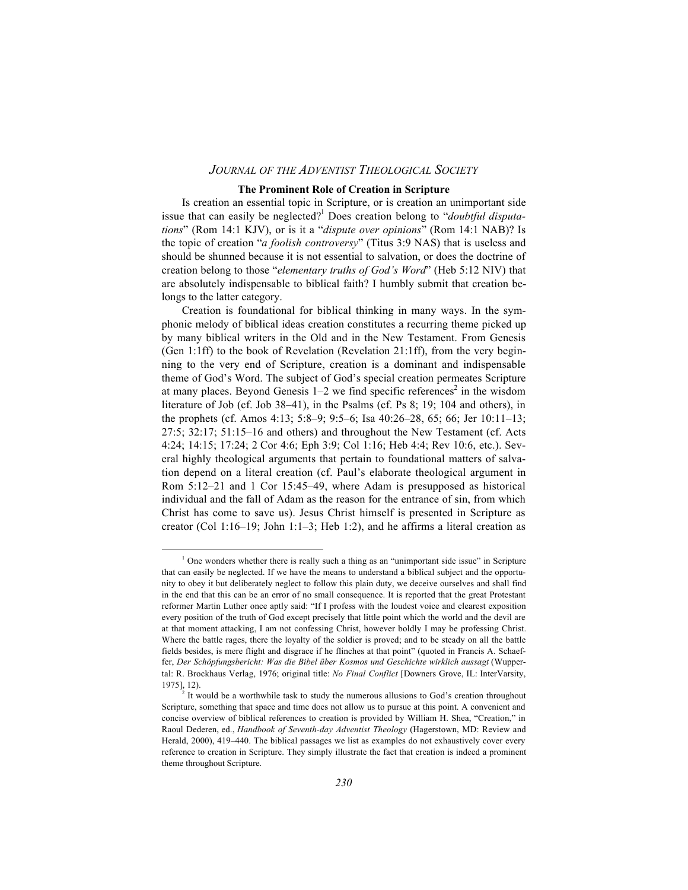#### **The Prominent Role of Creation in Scripture**

Is creation an essential topic in Scripture, or is creation an unimportant side issue that can easily be neglected?1 Does creation belong to "*doubtful disputations*" (Rom 14:1 KJV), or is it a "*dispute over opinions*" (Rom 14:1 NAB)? Is the topic of creation "*a foolish controversy*" (Titus 3:9 NAS) that is useless and should be shunned because it is not essential to salvation, or does the doctrine of creation belong to those "*elementary truths of God's Word*" (Heb 5:12 NIV) that are absolutely indispensable to biblical faith? I humbly submit that creation belongs to the latter category.

Creation is foundational for biblical thinking in many ways. In the symphonic melody of biblical ideas creation constitutes a recurring theme picked up by many biblical writers in the Old and in the New Testament. From Genesis (Gen 1:1ff) to the book of Revelation (Revelation 21:1ff), from the very beginning to the very end of Scripture, creation is a dominant and indispensable theme of God's Word. The subject of God's special creation permeates Scripture at many places. Beyond Genesis 1–2 we find specific references<sup>2</sup> in the wisdom literature of Job (cf. Job 38–41), in the Psalms (cf. Ps 8; 19; 104 and others), in the prophets (cf. Amos 4:13; 5:8–9; 9:5–6; Isa 40:26–28, 65; 66; Jer 10:11–13; 27:5; 32:17; 51:15–16 and others) and throughout the New Testament (cf. Acts 4:24; 14:15; 17:24; 2 Cor 4:6; Eph 3:9; Col 1:16; Heb 4:4; Rev 10:6, etc.). Several highly theological arguments that pertain to foundational matters of salvation depend on a literal creation (cf. Paul's elaborate theological argument in Rom 5:12–21 and 1 Cor 15:45–49, where Adam is presupposed as historical individual and the fall of Adam as the reason for the entrance of sin, from which Christ has come to save us). Jesus Christ himself is presented in Scripture as creator (Col 1:16–19; John 1:1–3; Heb 1:2), and he affirms a literal creation as

 $\frac{1}{1}$  $<sup>1</sup>$  One wonders whether there is really such a thing as an "unimportant side issue" in Scripture</sup> that can easily be neglected. If we have the means to understand a biblical subject and the opportunity to obey it but deliberately neglect to follow this plain duty, we deceive ourselves and shall find in the end that this can be an error of no small consequence. It is reported that the great Protestant reformer Martin Luther once aptly said: "If I profess with the loudest voice and clearest exposition every position of the truth of God except precisely that little point which the world and the devil are at that moment attacking, I am not confessing Christ, however boldly I may be professing Christ. Where the battle rages, there the loyalty of the soldier is proved; and to be steady on all the battle fields besides, is mere flight and disgrace if he flinches at that point" (quoted in Francis A. Schaeffer, *Der Schöpfungsbericht: Was die Bibel über Kosmos und Geschichte wirklich aussagt* (Wuppertal: R. Brockhaus Verlag, 1976; original title: *No Final Conflict* [Downers Grove, IL: InterVarsity, 1975], 12).

 $2^{2}$  It would be a worthwhile task to study the numerous allusions to God's creation throughout Scripture, something that space and time does not allow us to pursue at this point. A convenient and concise overview of biblical references to creation is provided by William H. Shea, "Creation," in Raoul Dederen, ed., *Handbook of Seventh-day Adventist Theology* (Hagerstown, MD: Review and Herald, 2000), 419–440. The biblical passages we list as examples do not exhaustively cover every reference to creation in Scripture. They simply illustrate the fact that creation is indeed a prominent theme throughout Scripture.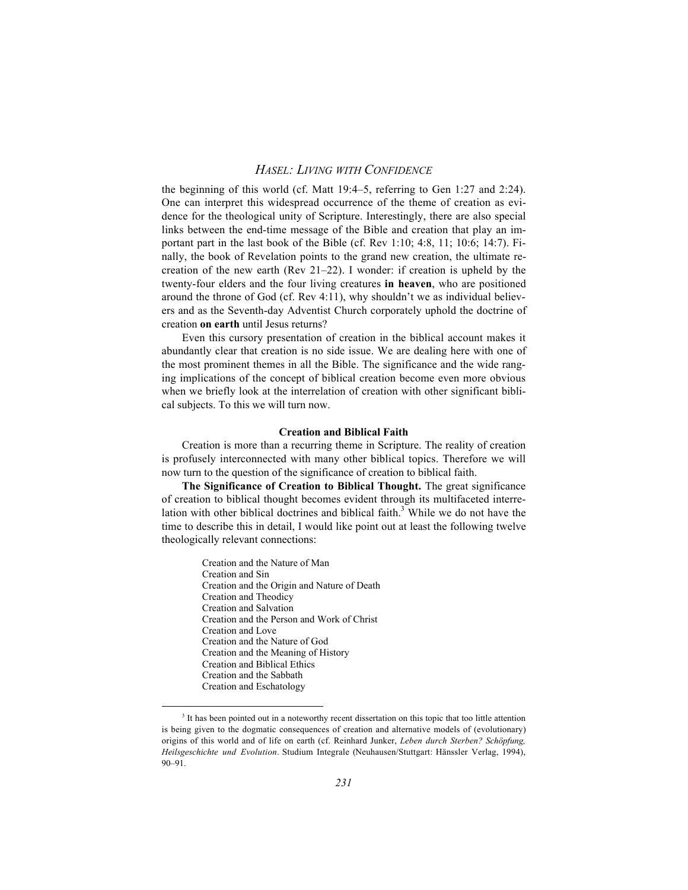the beginning of this world (cf. Matt 19:4–5, referring to Gen 1:27 and 2:24). One can interpret this widespread occurrence of the theme of creation as evidence for the theological unity of Scripture. Interestingly, there are also special links between the end-time message of the Bible and creation that play an important part in the last book of the Bible (cf. Rev 1:10; 4:8, 11; 10:6; 14:7). Finally, the book of Revelation points to the grand new creation, the ultimate recreation of the new earth (Rev 21–22). I wonder: if creation is upheld by the twenty-four elders and the four living creatures **in heaven**, who are positioned around the throne of God (cf. Rev 4:11), why shouldn't we as individual believers and as the Seventh-day Adventist Church corporately uphold the doctrine of creation **on earth** until Jesus returns?

Even this cursory presentation of creation in the biblical account makes it abundantly clear that creation is no side issue. We are dealing here with one of the most prominent themes in all the Bible. The significance and the wide ranging implications of the concept of biblical creation become even more obvious when we briefly look at the interrelation of creation with other significant biblical subjects. To this we will turn now.

#### **Creation and Biblical Faith**

Creation is more than a recurring theme in Scripture. The reality of creation is profusely interconnected with many other biblical topics. Therefore we will now turn to the question of the significance of creation to biblical faith.

**The Significance of Creation to Biblical Thought.** The great significance of creation to biblical thought becomes evident through its multifaceted interrelation with other biblical doctrines and biblical faith.<sup>3</sup> While we do not have the time to describe this in detail, I would like point out at least the following twelve theologically relevant connections:

> Creation and the Nature of Man Creation and Sin Creation and the Origin and Nature of Death Creation and Theodicy Creation and Salvation Creation and the Person and Work of Christ Creation and Love Creation and the Nature of God Creation and the Meaning of History Creation and Biblical Ethics Creation and the Sabbath Creation and Eschatology

 $\frac{1}{3}$ <sup>3</sup> It has been pointed out in a noteworthy recent dissertation on this topic that too little attention is being given to the dogmatic consequences of creation and alternative models of (evolutionary) origins of this world and of life on earth (cf. Reinhard Junker, *Leben durch Sterben? Schöpfung, Heilsgeschichte und Evolution*. Studium Integrale (Neuhausen/Stuttgart: Hänssler Verlag, 1994), 90–91.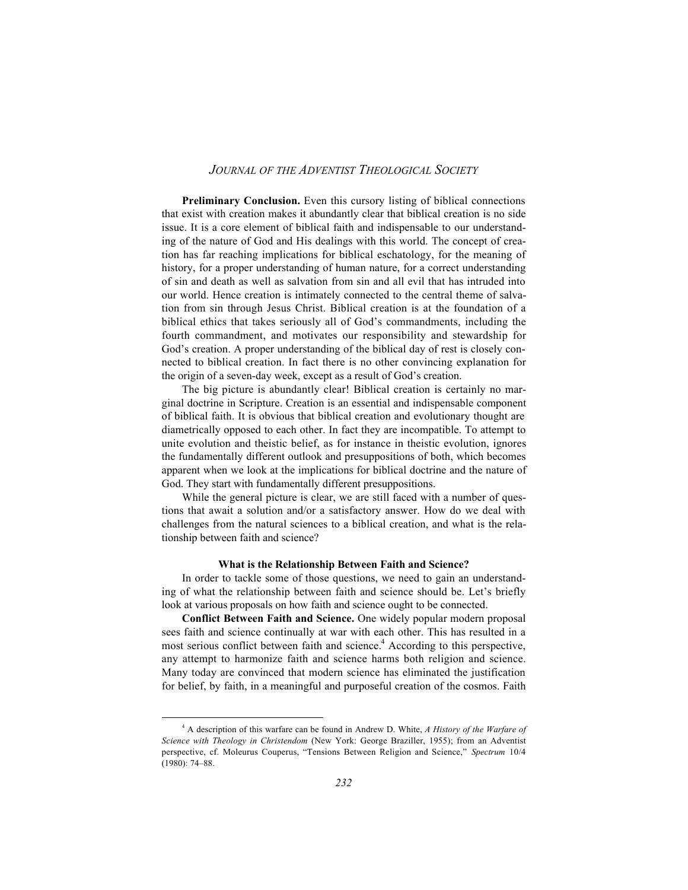**Preliminary Conclusion.** Even this cursory listing of biblical connections that exist with creation makes it abundantly clear that biblical creation is no side issue. It is a core element of biblical faith and indispensable to our understanding of the nature of God and His dealings with this world. The concept of creation has far reaching implications for biblical eschatology, for the meaning of history, for a proper understanding of human nature, for a correct understanding of sin and death as well as salvation from sin and all evil that has intruded into our world. Hence creation is intimately connected to the central theme of salvation from sin through Jesus Christ. Biblical creation is at the foundation of a biblical ethics that takes seriously all of God's commandments, including the fourth commandment, and motivates our responsibility and stewardship for God's creation. A proper understanding of the biblical day of rest is closely connected to biblical creation. In fact there is no other convincing explanation for the origin of a seven-day week, except as a result of God's creation.

The big picture is abundantly clear! Biblical creation is certainly no marginal doctrine in Scripture. Creation is an essential and indispensable component of biblical faith. It is obvious that biblical creation and evolutionary thought are diametrically opposed to each other. In fact they are incompatible. To attempt to unite evolution and theistic belief, as for instance in theistic evolution, ignores the fundamentally different outlook and presuppositions of both, which becomes apparent when we look at the implications for biblical doctrine and the nature of God. They start with fundamentally different presuppositions.

While the general picture is clear, we are still faced with a number of questions that await a solution and/or a satisfactory answer. How do we deal with challenges from the natural sciences to a biblical creation, and what is the relationship between faith and science?

#### **What is the Relationship Between Faith and Science?**

In order to tackle some of those questions, we need to gain an understanding of what the relationship between faith and science should be. Let's briefly look at various proposals on how faith and science ought to be connected.

**Conflict Between Faith and Science.** One widely popular modern proposal sees faith and science continually at war with each other. This has resulted in a most serious conflict between faith and science.<sup>4</sup> According to this perspective. any attempt to harmonize faith and science harms both religion and science. Many today are convinced that modern science has eliminated the justification for belief, by faith, in a meaningful and purposeful creation of the cosmos. Faith

 $\frac{1}{4}$  A description of this warfare can be found in Andrew D. White, *A History of the Warfare of Science with Theology in Christendom* (New York: George Braziller, 1955); from an Adventist perspective, cf. Moleurus Couperus, "Tensions Between Religion and Science," *Spectrum* 10/4 (1980): 74–88.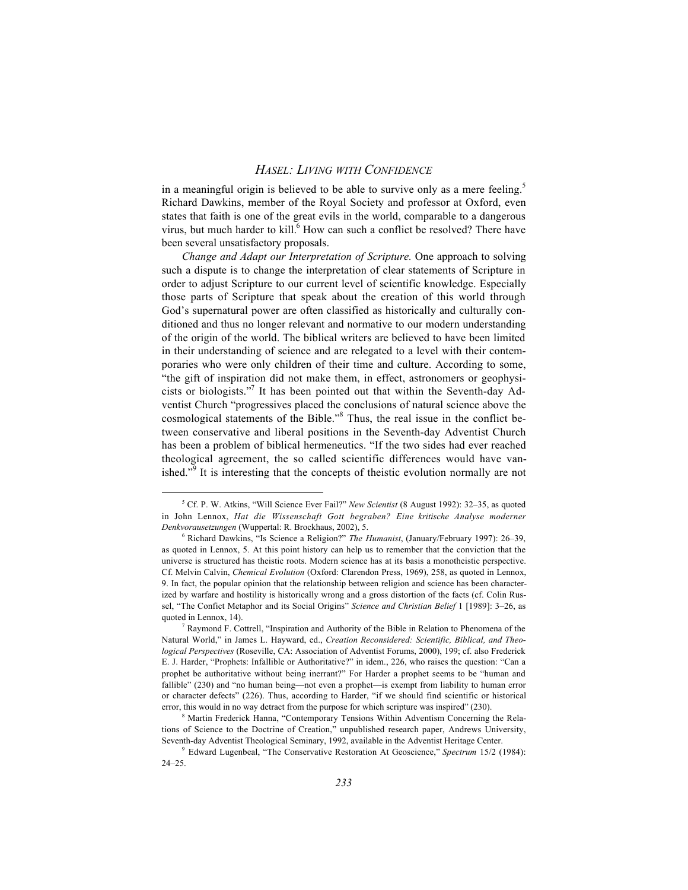in a meaningful origin is believed to be able to survive only as a mere feeling.<sup>5</sup> Richard Dawkins, member of the Royal Society and professor at Oxford, even states that faith is one of the great evils in the world, comparable to a dangerous virus, but much harder to kill. How can such a conflict be resolved? There have been several unsatisfactory proposals.

*Change and Adapt our Interpretation of Scripture.* One approach to solving such a dispute is to change the interpretation of clear statements of Scripture in order to adjust Scripture to our current level of scientific knowledge. Especially those parts of Scripture that speak about the creation of this world through God's supernatural power are often classified as historically and culturally conditioned and thus no longer relevant and normative to our modern understanding of the origin of the world. The biblical writers are believed to have been limited in their understanding of science and are relegated to a level with their contemporaries who were only children of their time and culture. According to some, "the gift of inspiration did not make them, in effect, astronomers or geophysicists or biologists."7 It has been pointed out that within the Seventh-day Adventist Church "progressives placed the conclusions of natural science above the cosmological statements of the Bible.<sup>38</sup> Thus, the real issue in the conflict between conservative and liberal positions in the Seventh-day Adventist Church has been a problem of biblical hermeneutics. "If the two sides had ever reached theological agreement, the so called scientific differences would have vanished.<sup> $\overline{59}$ </sup> It is interesting that the concepts of theistic evolution normally are not

 $\frac{1}{5}$  Cf. P. W. Atkins, "Will Science Ever Fail?" *New Scientist* (8 August 1992): 32–35, as quoted in John Lennox, *Hat die Wissenschaft Gott begraben? Eine kritische Analyse moderner Denkvorausetzungen* (Wuppertal: R. Brockhaus, 2002), 5.

<sup>6</sup> Richard Dawkins, "Is Science a Religion?" *The Humanist*, (January/February 1997): 26–39, as quoted in Lennox, 5. At this point history can help us to remember that the conviction that the universe is structured has theistic roots. Modern science has at its basis a monotheistic perspective. Cf. Melvin Calvin, *Chemical Evolution* (Oxford: Clarendon Press, 1969), 258, as quoted in Lennox, 9. In fact, the popular opinion that the relationship between religion and science has been characterized by warfare and hostility is historically wrong and a gross distortion of the facts (cf. Colin Russel, "The Confict Metaphor and its Social Origins" *Science and Christian Belief* 1 [1989]: 3–26, as quoted in Lennox, 14).

<sup>&</sup>lt;sup>7</sup> Raymond F. Cottrell, "Inspiration and Authority of the Bible in Relation to Phenomena of the Natural World," in James L. Hayward, ed., *Creation Reconsidered: Scientific, Biblical, and Theological Perspectives* (Roseville, CA: Association of Adventist Forums, 2000), 199; cf. also Frederick E. J. Harder, "Prophets: Infallible or Authoritative?" in idem., 226, who raises the question: "Can a prophet be authoritative without being inerrant?" For Harder a prophet seems to be "human and fallible" (230) and "no human being—not even a prophet—is exempt from liability to human error or character defects" (226). Thus, according to Harder, "if we should find scientific or historical error, this would in no way detract from the purpose for which scripture was inspired" (230).

<sup>&</sup>lt;sup>8</sup> Martin Frederick Hanna, "Contemporary Tensions Within Adventism Concerning the Relations of Science to the Doctrine of Creation," unpublished research paper, Andrews University, Seventh-day Adventist Theological Seminary, 1992, available in the Adventist Heritage Center.

<sup>9</sup> Edward Lugenbeal, "The Conservative Restoration At Geoscience," *Spectrum* 15/2 (1984): 24–25.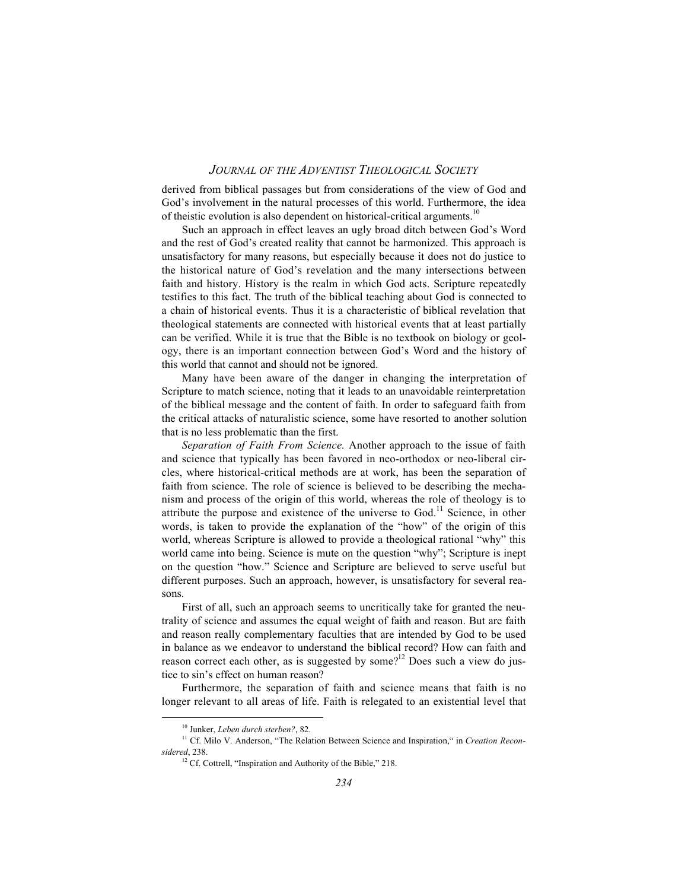derived from biblical passages but from considerations of the view of God and God's involvement in the natural processes of this world. Furthermore, the idea of theistic evolution is also dependent on historical-critical arguments.<sup>10</sup>

Such an approach in effect leaves an ugly broad ditch between God's Word and the rest of God's created reality that cannot be harmonized. This approach is unsatisfactory for many reasons, but especially because it does not do justice to the historical nature of God's revelation and the many intersections between faith and history. History is the realm in which God acts. Scripture repeatedly testifies to this fact. The truth of the biblical teaching about God is connected to a chain of historical events. Thus it is a characteristic of biblical revelation that theological statements are connected with historical events that at least partially can be verified. While it is true that the Bible is no textbook on biology or geology, there is an important connection between God's Word and the history of this world that cannot and should not be ignored.

Many have been aware of the danger in changing the interpretation of Scripture to match science, noting that it leads to an unavoidable reinterpretation of the biblical message and the content of faith. In order to safeguard faith from the critical attacks of naturalistic science, some have resorted to another solution that is no less problematic than the first.

*Separation of Faith From Science.* Another approach to the issue of faith and science that typically has been favored in neo-orthodox or neo-liberal circles, where historical-critical methods are at work, has been the separation of faith from science. The role of science is believed to be describing the mechanism and process of the origin of this world, whereas the role of theology is to attribute the purpose and existence of the universe to  $God.11$  Science, in other words, is taken to provide the explanation of the "how" of the origin of this world, whereas Scripture is allowed to provide a theological rational "why" this world came into being. Science is mute on the question "why"; Scripture is inept on the question "how." Science and Scripture are believed to serve useful but different purposes. Such an approach, however, is unsatisfactory for several reasons.

First of all, such an approach seems to uncritically take for granted the neutrality of science and assumes the equal weight of faith and reason. But are faith and reason really complementary faculties that are intended by God to be used in balance as we endeavor to understand the biblical record? How can faith and reason correct each other, as is suggested by some?<sup>12</sup> Does such a view do justice to sin's effect on human reason?

Furthermore, the separation of faith and science means that faith is no longer relevant to all areas of life. Faith is relegated to an existential level that

10 Junker, *Leben durch sterben?*, 82.

<sup>&</sup>lt;sup>11</sup> Cf. Milo V. Anderson, "The Relation Between Science and Inspiration," in *Creation Reconsidered*, 238.

<sup>&</sup>lt;sup>12</sup> Cf. Cottrell, "Inspiration and Authority of the Bible," 218.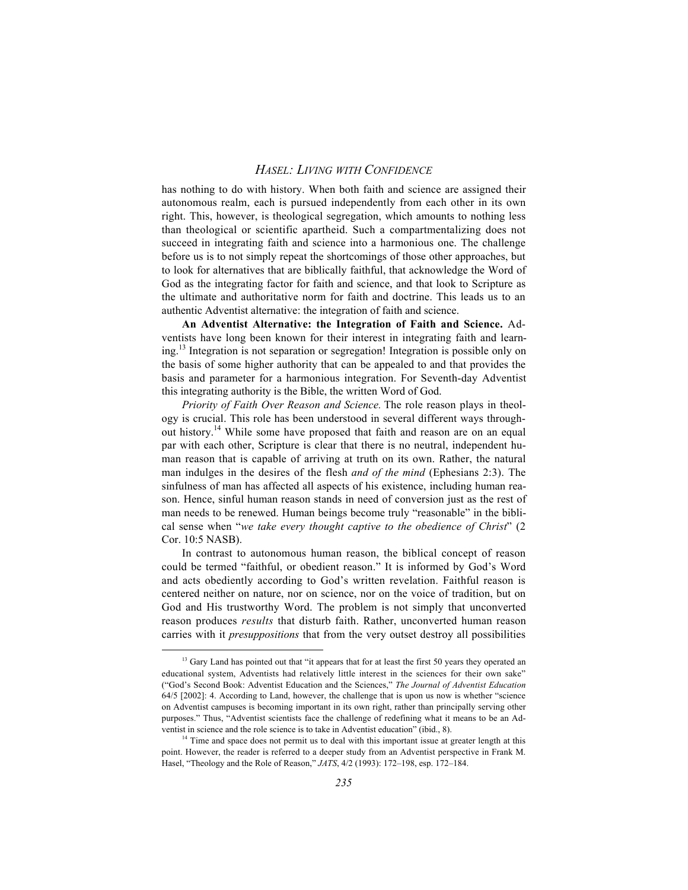has nothing to do with history. When both faith and science are assigned their autonomous realm, each is pursued independently from each other in its own right. This, however, is theological segregation, which amounts to nothing less than theological or scientific apartheid. Such a compartmentalizing does not succeed in integrating faith and science into a harmonious one. The challenge before us is to not simply repeat the shortcomings of those other approaches, but to look for alternatives that are biblically faithful, that acknowledge the Word of God as the integrating factor for faith and science, and that look to Scripture as the ultimate and authoritative norm for faith and doctrine. This leads us to an authentic Adventist alternative: the integration of faith and science.

**An Adventist Alternative: the Integration of Faith and Science.** Adventists have long been known for their interest in integrating faith and learning.13 Integration is not separation or segregation! Integration is possible only on the basis of some higher authority that can be appealed to and that provides the basis and parameter for a harmonious integration. For Seventh-day Adventist this integrating authority is the Bible, the written Word of God.

*Priority of Faith Over Reason and Science.* The role reason plays in theology is crucial. This role has been understood in several different ways throughout history.<sup>14</sup> While some have proposed that faith and reason are on an equal par with each other, Scripture is clear that there is no neutral, independent human reason that is capable of arriving at truth on its own. Rather, the natural man indulges in the desires of the flesh *and of the mind* (Ephesians 2:3). The sinfulness of man has affected all aspects of his existence, including human reason. Hence, sinful human reason stands in need of conversion just as the rest of man needs to be renewed. Human beings become truly "reasonable" in the biblical sense when "*we take every thought captive to the obedience of Christ*" (2 Cor. 10:5 NASB).

In contrast to autonomous human reason, the biblical concept of reason could be termed "faithful, or obedient reason." It is informed by God's Word and acts obediently according to God's written revelation. Faithful reason is centered neither on nature, nor on science, nor on the voice of tradition, but on God and His trustworthy Word. The problem is not simply that unconverted reason produces *results* that disturb faith. Rather, unconverted human reason carries with it *presuppositions* that from the very outset destroy all possibilities

<sup>&</sup>lt;sup>13</sup> Gary Land has pointed out that "it appears that for at least the first 50 years they operated an educational system, Adventists had relatively little interest in the sciences for their own sake" ("God's Second Book: Adventist Education and the Sciences," *The Journal of Adventist Education* 64/5 [2002]: 4. According to Land, however, the challenge that is upon us now is whether "science on Adventist campuses is becoming important in its own right, rather than principally serving other purposes." Thus, "Adventist scientists face the challenge of redefining what it means to be an Adventist in science and the role science is to take in Adventist education" (ibid., 8).

<sup>&</sup>lt;sup>14</sup> Time and space does not permit us to deal with this important issue at greater length at this point. However, the reader is referred to a deeper study from an Adventist perspective in Frank M. Hasel, "Theology and the Role of Reason," *JATS*, 4/2 (1993): 172–198, esp. 172–184.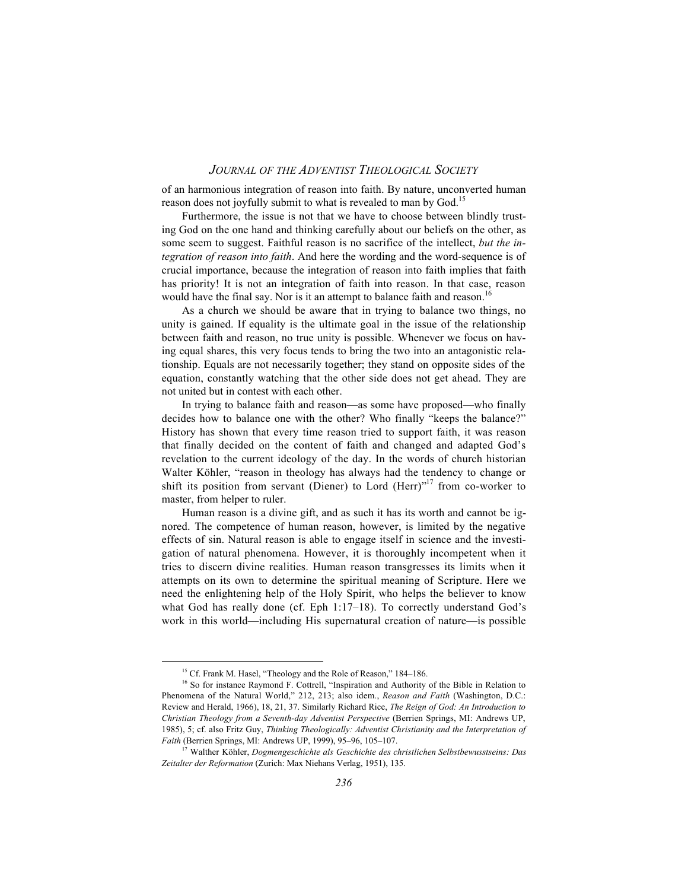of an harmonious integration of reason into faith. By nature, unconverted human reason does not joyfully submit to what is revealed to man by God.<sup>15</sup>

Furthermore, the issue is not that we have to choose between blindly trusting God on the one hand and thinking carefully about our beliefs on the other, as some seem to suggest. Faithful reason is no sacrifice of the intellect, *but the integration of reason into faith*. And here the wording and the word-sequence is of crucial importance, because the integration of reason into faith implies that faith has priority! It is not an integration of faith into reason. In that case, reason would have the final say. Nor is it an attempt to balance faith and reason.<sup>16</sup>

As a church we should be aware that in trying to balance two things, no unity is gained. If equality is the ultimate goal in the issue of the relationship between faith and reason, no true unity is possible. Whenever we focus on having equal shares, this very focus tends to bring the two into an antagonistic relationship. Equals are not necessarily together; they stand on opposite sides of the equation, constantly watching that the other side does not get ahead. They are not united but in contest with each other.

In trying to balance faith and reason—as some have proposed—who finally decides how to balance one with the other? Who finally "keeps the balance?" History has shown that every time reason tried to support faith, it was reason that finally decided on the content of faith and changed and adapted God's revelation to the current ideology of the day. In the words of church historian Walter Köhler, "reason in theology has always had the tendency to change or shift its position from servant (Diener) to Lord (Herr)"<sup>17</sup> from co-worker to master, from helper to ruler.

Human reason is a divine gift, and as such it has its worth and cannot be ignored. The competence of human reason, however, is limited by the negative effects of sin. Natural reason is able to engage itself in science and the investigation of natural phenomena. However, it is thoroughly incompetent when it tries to discern divine realities. Human reason transgresses its limits when it attempts on its own to determine the spiritual meaning of Scripture. Here we need the enlightening help of the Holy Spirit, who helps the believer to know what God has really done (cf. Eph 1:17–18). To correctly understand God's work in this world—including His supernatural creation of nature—is possible

<sup>&</sup>lt;sup>15</sup> Cf. Frank M. Hasel, "Theology and the Role of Reason," 184–186.

<sup>&</sup>lt;sup>16</sup> So for instance Raymond F. Cottrell, "Inspiration and Authority of the Bible in Relation to Phenomena of the Natural World," 212, 213; also idem., *Reason and Faith* (Washington, D.C.: Review and Herald, 1966), 18, 21, 37. Similarly Richard Rice, *The Reign of God: An Introduction to Christian Theology from a Seventh-day Adventist Perspective* (Berrien Springs, MI: Andrews UP, 1985), 5; cf. also Fritz Guy, *Thinking Theologically: Adventist Christianity and the Interpretation of Faith* (Berrien Springs, MI: Andrews UP, 1999), 95–96, 105–107.

<sup>17</sup> Walther Köhler, *Dogmengeschichte als Geschichte des christlichen Selbstbewusstseins: Das Zeitalter der Reformation* (Zurich: Max Niehans Verlag, 1951), 135.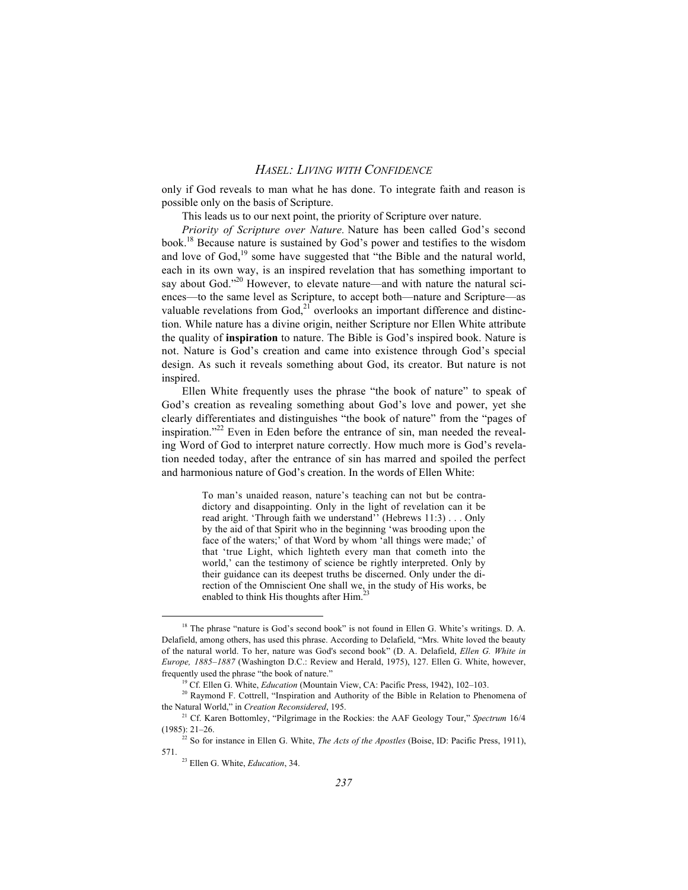only if God reveals to man what he has done. To integrate faith and reason is possible only on the basis of Scripture.

This leads us to our next point, the priority of Scripture over nature.

*Priority of Scripture over Nature.* Nature has been called God's second book.18 Because nature is sustained by God's power and testifies to the wisdom and love of God,<sup>19</sup> some have suggested that "the Bible and the natural world, each in its own way, is an inspired revelation that has something important to say about God."<sup>20</sup> However, to elevate nature—and with nature the natural sciences—to the same level as Scripture, to accept both—nature and Scripture—as valuable revelations from God, $2^{1}$  overlooks an important difference and distinction. While nature has a divine origin, neither Scripture nor Ellen White attribute the quality of **inspiration** to nature. The Bible is God's inspired book. Nature is not. Nature is God's creation and came into existence through God's special design. As such it reveals something about God, its creator. But nature is not inspired.

Ellen White frequently uses the phrase "the book of nature" to speak of God's creation as revealing something about God's love and power, yet she clearly differentiates and distinguishes "the book of nature" from the "pages of inspiration."<sup>22</sup> Even in Eden before the entrance of sin, man needed the revealing Word of God to interpret nature correctly. How much more is God's revelation needed today, after the entrance of sin has marred and spoiled the perfect and harmonious nature of God's creation. In the words of Ellen White:

> To man's unaided reason, nature's teaching can not but be contradictory and disappointing. Only in the light of revelation can it be read aright. 'Through faith we understand'' (Hebrews 11:3) . . . Only by the aid of that Spirit who in the beginning 'was brooding upon the face of the waters;' of that Word by whom 'all things were made;' of that 'true Light, which lighteth every man that cometh into the world,' can the testimony of science be rightly interpreted. Only by their guidance can its deepest truths be discerned. Only under the direction of the Omniscient One shall we, in the study of His works, be enabled to think His thoughts after  $\text{Him}^{23}$

<sup>&</sup>lt;sup>18</sup> The phrase "nature is God's second book" is not found in Ellen G. White's writings. D. A. Delafield, among others, has used this phrase. According to Delafield, "Mrs. White loved the beauty of the natural world. To her, nature was God's second book" (D. A. Delafield, *Ellen G. White in Europe, 1885–1887* (Washington D.C.: Review and Herald, 1975), 127. Ellen G. White, however, frequently used the phrase "the book of nature."

<sup>19</sup> Cf. Ellen G. White, *Education* (Mountain View, CA: Pacific Press, 1942), 102–103.

<sup>&</sup>lt;sup>20</sup> Raymond F. Cottrell, "Inspiration and Authority of the Bible in Relation to Phenomena of the Natural World," in *Creation Reconsidered*, 195.

<sup>21</sup> Cf. Karen Bottomley, "Pilgrimage in the Rockies: the AAF Geology Tour," *Spectrum* 16/4 (1985): 21–26.

<sup>&</sup>lt;sup>22</sup> So for instance in Ellen G. White, *The Acts of the Apostles* (Boise, ID: Pacific Press, 1911), 571.

<sup>23</sup> Ellen G. White, *Education*, 34.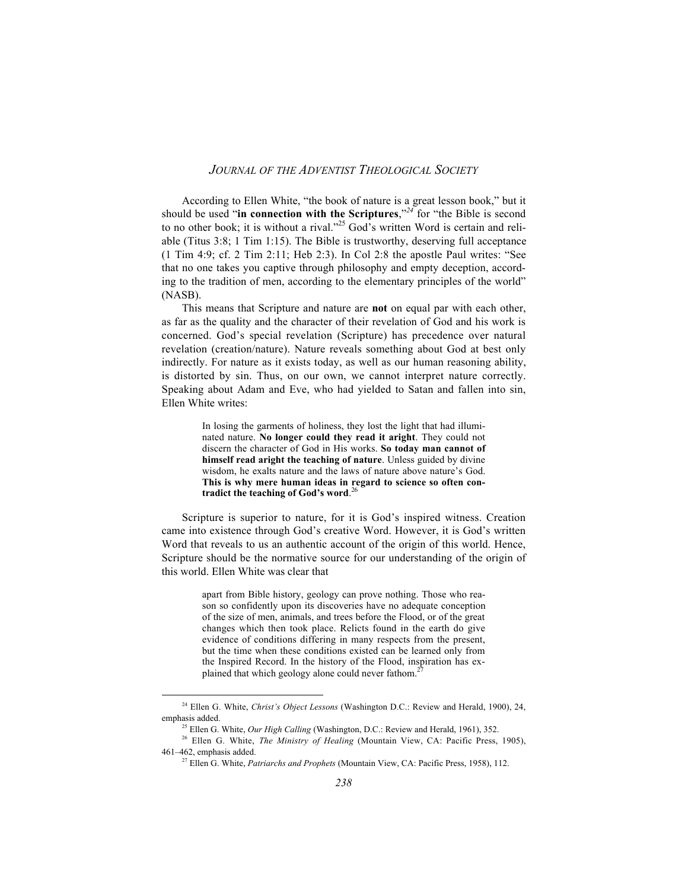According to Ellen White, "the book of nature is a great lesson book," but it should be used "**in connection with the Scriptures**,"*<sup>24</sup>* for "the Bible is second to no other book; it is without a rival."25 God's written Word is certain and reliable (Titus 3:8; 1 Tim 1:15). The Bible is trustworthy, deserving full acceptance (1 Tim 4:9; cf. 2 Tim 2:11; Heb 2:3). In Col 2:8 the apostle Paul writes: "See that no one takes you captive through philosophy and empty deception, according to the tradition of men, according to the elementary principles of the world" (NASB).

This means that Scripture and nature are **not** on equal par with each other, as far as the quality and the character of their revelation of God and his work is concerned. God's special revelation (Scripture) has precedence over natural revelation (creation/nature). Nature reveals something about God at best only indirectly. For nature as it exists today, as well as our human reasoning ability, is distorted by sin. Thus, on our own, we cannot interpret nature correctly. Speaking about Adam and Eve, who had yielded to Satan and fallen into sin, Ellen White writes:

> In losing the garments of holiness, they lost the light that had illuminated nature. **No longer could they read it aright**. They could not discern the character of God in His works. **So today man cannot of himself read aright the teaching of nature**. Unless guided by divine wisdom, he exalts nature and the laws of nature above nature's God. **This is why mere human ideas in regard to science so often con-**26 **tradict the teaching of God's word**.

Scripture is superior to nature, for it is God's inspired witness. Creation came into existence through God's creative Word. However, it is God's written Word that reveals to us an authentic account of the origin of this world. Hence, Scripture should be the normative source for our understanding of the origin of this world. Ellen White was clear that

> apart from Bible history, geology can prove nothing. Those who reason so confidently upon its discoveries have no adequate conception of the size of men, animals, and trees before the Flood, or of the great changes which then took place. Relicts found in the earth do give evidence of conditions differing in many respects from the present, but the time when these conditions existed can be learned only from the Inspired Record. In the history of the Flood, inspiration has explained that which geology alone could never fathom.<sup>2</sup>

24 Ellen G. White, *Christ's Object Lessons* (Washington D.C.: Review and Herald, 1900), 24, emphasis added.

<sup>&</sup>lt;sup>25</sup> Ellen G. White, *Our High Calling* (Washington, D.C.: Review and Herald, 1961), 352.

<sup>26</sup> Ellen G. White, *The Ministry of Healing* (Mountain View, CA: Pacific Press, 1905), 461–462, emphasis added.

<sup>27</sup> Ellen G. White, *Patriarchs and Prophets* (Mountain View, CA: Pacific Press, 1958), 112.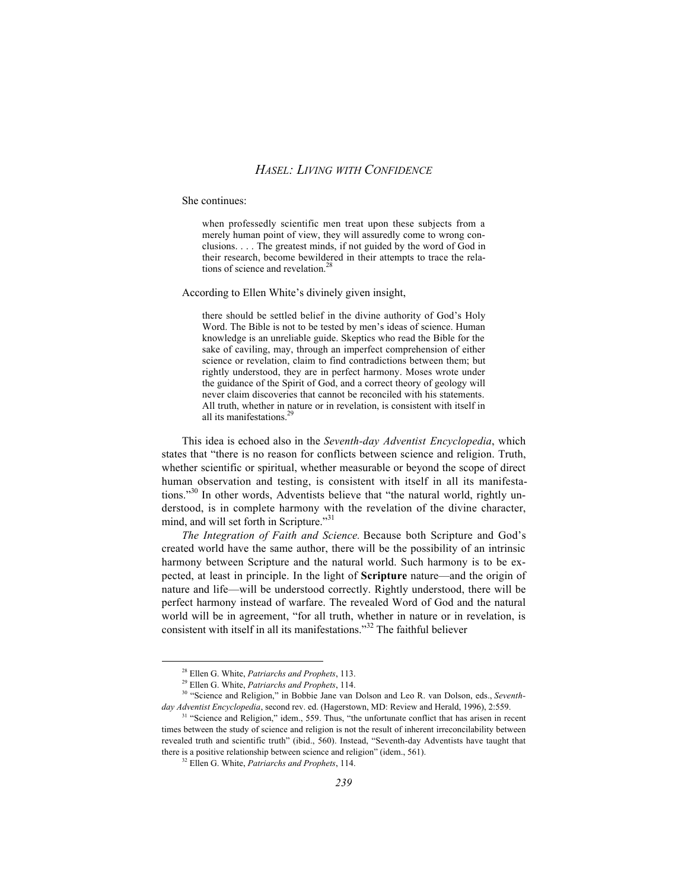#### She continues:

when professedly scientific men treat upon these subjects from a merely human point of view, they will assuredly come to wrong conclusions. . . . The greatest minds, if not guided by the word of God in their research, become bewildered in their attempts to trace the relations of science and revelation.<sup>28</sup>

According to Ellen White's divinely given insight,

there should be settled belief in the divine authority of God's Holy Word. The Bible is not to be tested by men's ideas of science. Human knowledge is an unreliable guide. Skeptics who read the Bible for the sake of caviling, may, through an imperfect comprehension of either science or revelation, claim to find contradictions between them; but rightly understood, they are in perfect harmony. Moses wrote under the guidance of the Spirit of God, and a correct theory of geology will never claim discoveries that cannot be reconciled with his statements. All truth, whether in nature or in revelation, is consistent with itself in all its manifestations.<sup>2</sup>

This idea is echoed also in the *Seventh-day Adventist Encyclopedia*, which states that "there is no reason for conflicts between science and religion. Truth, whether scientific or spiritual, whether measurable or beyond the scope of direct human observation and testing, is consistent with itself in all its manifestations."<sup>30</sup> In other words, Adventists believe that "the natural world, rightly understood, is in complete harmony with the revelation of the divine character, mind, and will set forth in Scripture."<sup>31</sup>

*The Integration of Faith and Science.* Because both Scripture and God's created world have the same author, there will be the possibility of an intrinsic harmony between Scripture and the natural world. Such harmony is to be expected, at least in principle. In the light of **Scripture** nature—and the origin of nature and life—will be understood correctly. Rightly understood, there will be perfect harmony instead of warfare. The revealed Word of God and the natural world will be in agreement, "for all truth, whether in nature or in revelation, is consistent with itself in all its manifestations."<sup>32</sup> The faithful believer

28 Ellen G. White, *Patriarchs and Prophets*, 113.

<sup>29</sup> Ellen G. White, *Patriarchs and Prophets*, 114.

<sup>30 &</sup>quot;Science and Religion," in Bobbie Jane van Dolson and Leo R. van Dolson, eds., *Seventhday Adventist Encyclopedia*, second rev. ed. (Hagerstown, MD: Review and Herald, 1996), 2:559.

<sup>&</sup>lt;sup>31</sup> "Science and Religion," idem., 559. Thus, "the unfortunate conflict that has arisen in recent times between the study of science and religion is not the result of inherent irreconcilability between revealed truth and scientific truth" (ibid., 560). Instead, "Seventh-day Adventists have taught that there is a positive relationship between science and religion" (idem., 561).

<sup>32</sup> Ellen G. White, *Patriarchs and Prophets*, 114.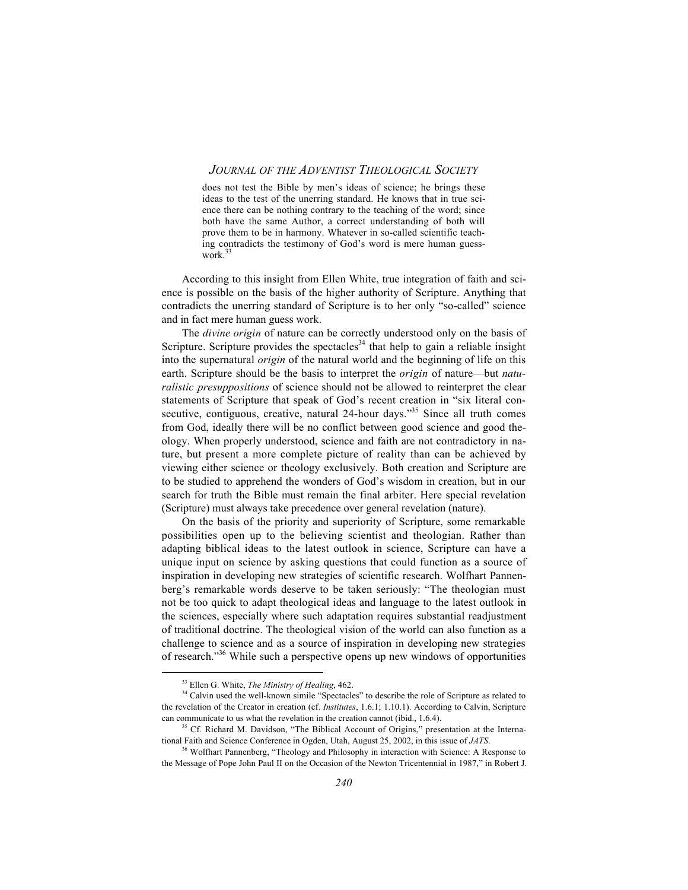does not test the Bible by men's ideas of science; he brings these ideas to the test of the unerring standard. He knows that in true science there can be nothing contrary to the teaching of the word; since both have the same Author, a correct understanding of both will prove them to be in harmony. Whatever in so-called scientific teaching contradicts the testimony of God's word is mere human guesswork.<sup>33</sup>

According to this insight from Ellen White, true integration of faith and science is possible on the basis of the higher authority of Scripture. Anything that contradicts the unerring standard of Scripture is to her only "so-called" science and in fact mere human guess work.

The *divine origin* of nature can be correctly understood only on the basis of Scripture. Scripture provides the spectacles<sup>34</sup> that help to gain a reliable insight into the supernatural *origin* of the natural world and the beginning of life on this earth. Scripture should be the basis to interpret the *origin* of nature—but *naturalistic presuppositions* of science should not be allowed to reinterpret the clear statements of Scripture that speak of God's recent creation in "six literal consecutive, contiguous, creative, natural 24-hour days.<sup>35</sup> Since all truth comes from God, ideally there will be no conflict between good science and good theology. When properly understood, science and faith are not contradictory in nature, but present a more complete picture of reality than can be achieved by viewing either science or theology exclusively. Both creation and Scripture are to be studied to apprehend the wonders of God's wisdom in creation, but in our search for truth the Bible must remain the final arbiter. Here special revelation (Scripture) must always take precedence over general revelation (nature).

On the basis of the priority and superiority of Scripture, some remarkable possibilities open up to the believing scientist and theologian. Rather than adapting biblical ideas to the latest outlook in science, Scripture can have a unique input on science by asking questions that could function as a source of inspiration in developing new strategies of scientific research. Wolfhart Pannenberg's remarkable words deserve to be taken seriously: "The theologian must not be too quick to adapt theological ideas and language to the latest outlook in the sciences, especially where such adaptation requires substantial readjustment of traditional doctrine. The theological vision of the world can also function as a challenge to science and as a source of inspiration in developing new strategies of research."36 While such a perspective opens up new windows of opportunities

33 Ellen G. White, *The Ministry of Healing*, 462.

<sup>&</sup>lt;sup>34</sup> Calvin used the well-known simile "Spectacles" to describe the role of Scripture as related to the revelation of the Creator in creation (cf. *Institutes*, 1.6.1; 1.10.1). According to Calvin, Scripture can communicate to us what the revelation in the creation cannot (ibid., 1.6.4).

<sup>&</sup>lt;sup>35</sup> Cf. Richard M. Davidson, "The Biblical Account of Origins," presentation at the International Faith and Science Conference in Ogden, Utah, August 25, 2002, in this issue of *JATS*.

<sup>&</sup>lt;sup>36</sup> Wolfhart Pannenberg, "Theology and Philosophy in interaction with Science: A Response to the Message of Pope John Paul II on the Occasion of the Newton Tricentennial in 1987," in Robert J.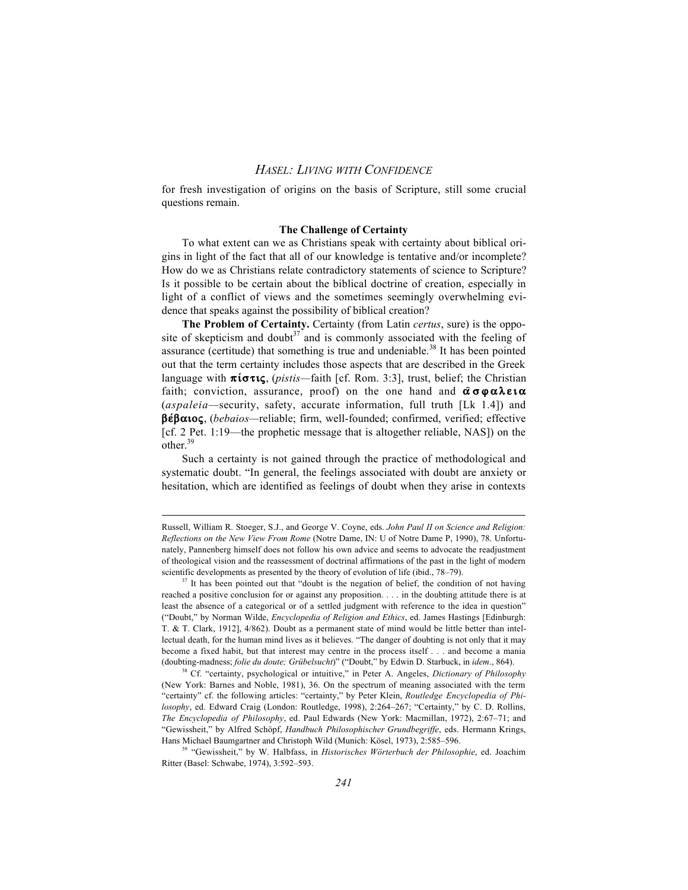for fresh investigation of origins on the basis of Scripture, still some crucial questions remain.

#### **The Challenge of Certainty**

To what extent can we as Christians speak with certainty about biblical origins in light of the fact that all of our knowledge is tentative and/or incomplete? How do we as Christians relate contradictory statements of science to Scripture? Is it possible to be certain about the biblical doctrine of creation, especially in light of a conflict of views and the sometimes seemingly overwhelming evidence that speaks against the possibility of biblical creation?

**The Problem of Certainty.** Certainty (from Latin *certus*, sure) is the opposite of skepticism and doubt<sup>37</sup> and is commonly associated with the feeling of assurance (certitude) that something is true and undeniable.<sup>38</sup> It has been pointed out that the term certainty includes those aspects that are described in the Greek language with  $\pi$ **i** $\sigma$ *x***ic**, (*pistis—faith [cf. Rom. 3:3], trust, belief; the Christian* faith; conviction, assurance, proof) on the one hand and  $\hat{\alpha} \sigma \varphi \alpha \lambda \varepsilon \iota \alpha$ (*aspaleia—*security, safety, accurate information, full truth [Lk 1.4]) and **be÷baioß**, (*bebaios—*reliable; firm, well-founded; confirmed, verified; effective [cf. 2 Pet. 1:19—the prophetic message that is altogether reliable, NAS]) on the other.<sup>39</sup>

Such a certainty is not gained through the practice of methodological and systematic doubt. "In general, the feelings associated with doubt are anxiety or hesitation, which are identified as feelings of doubt when they arise in contexts

 $\overline{a}$ 

Russell, William R. Stoeger, S.J., and George V. Coyne, eds. *John Paul II on Science and Religion: Reflections on the New View From Rome* (Notre Dame, IN: U of Notre Dame P, 1990), 78. Unfortunately, Pannenberg himself does not follow his own advice and seems to advocate the readjustment of theological vision and the reassessment of doctrinal affirmations of the past in the light of modern scientific developments as presented by the theory of evolution of life (ibid., 78–79).

 $37$  It has been pointed out that "doubt is the negation of belief, the condition of not having reached a positive conclusion for or against any proposition. . . . in the doubting attitude there is at least the absence of a categorical or of a settled judgment with reference to the idea in question" ("Doubt," by Norman Wilde, *Encyclopedia of Religion and Ethics*, ed. James Hastings [Edinburgh: T. & T. Clark, 1912], 4/862). Doubt as a permanent state of mind would be little better than intellectual death, for the human mind lives as it believes. "The danger of doubting is not only that it may become a fixed habit, but that interest may centre in the process itself . . . and become a mania (doubting-madness; *folie du doute; Grübelsucht*)" ("Doubt," by Edwin D. Starbuck, in *idem*., 864).

<sup>38</sup> Cf. "certainty, psychological or intuitive," in Peter A. Angeles, *Dictionary of Philosophy* (New York: Barnes and Noble, 1981), 36. On the spectrum of meaning associated with the term "certainty" cf. the following articles: "certainty," by Peter Klein, *Routledge Encyclopedia of Philosophy*, ed. Edward Craig (London: Routledge, 1998), 2:264–267; "Certainty," by C. D. Rollins, *The Encyclopedia of Philosophy*, ed. Paul Edwards (New York: Macmillan, 1972), 2:67–71; and "Gewissheit," by Alfred Schöpf, *Handbuch Philosophischer Grundbegriffe*, eds. Hermann Krings, Hans Michael Baumgartner and Christoph Wild (Munich: Kösel, 1973), 2:585–596.

<sup>39 &</sup>quot;Gewissheit," by W. Halbfass, in *Historisches Wörterbuch der Philosophie*, ed. Joachim Ritter (Basel: Schwabe, 1974), 3:592–593.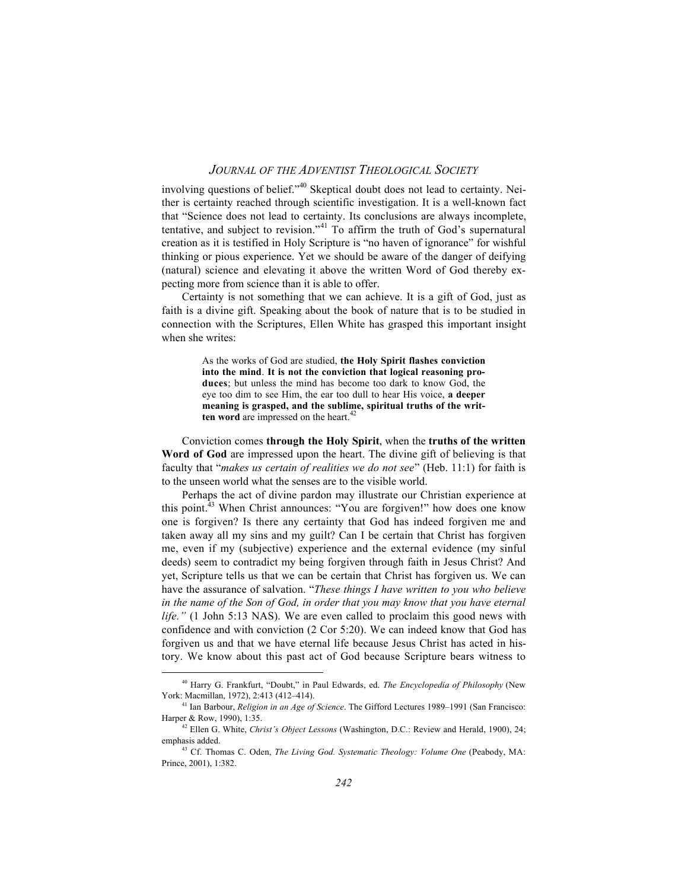involving questions of belief."40 Skeptical doubt does not lead to certainty. Neither is certainty reached through scientific investigation. It is a well-known fact that "Science does not lead to certainty. Its conclusions are always incomplete, tentative, and subject to revision."41 To affirm the truth of God's supernatural creation as it is testified in Holy Scripture is "no haven of ignorance" for wishful thinking or pious experience. Yet we should be aware of the danger of deifying (natural) science and elevating it above the written Word of God thereby expecting more from science than it is able to offer.

Certainty is not something that we can achieve. It is a gift of God, just as faith is a divine gift. Speaking about the book of nature that is to be studied in connection with the Scriptures, Ellen White has grasped this important insight when she writes:

> As the works of God are studied, **the Holy Spirit flashes conviction into the mind**. **It is not the conviction that logical reasoning produces**; but unless the mind has become too dark to know God, the eye too dim to see Him, the ear too dull to hear His voice, **a deeper meaning is grasped, and the sublime, spiritual truths of the written word** are impressed on the heart.<sup>42</sup>

Conviction comes **through the Holy Spirit**, when the **truths of the written Word of God** are impressed upon the heart. The divine gift of believing is that faculty that "*makes us certain of realities we do not see*" (Heb. 11:1) for faith is to the unseen world what the senses are to the visible world.

Perhaps the act of divine pardon may illustrate our Christian experience at this point.<sup>43</sup> When Christ announces: "You are forgiven!" how does one know one is forgiven? Is there any certainty that God has indeed forgiven me and taken away all my sins and my guilt? Can I be certain that Christ has forgiven me, even if my (subjective) experience and the external evidence (my sinful deeds) seem to contradict my being forgiven through faith in Jesus Christ? And yet, Scripture tells us that we can be certain that Christ has forgiven us. We can have the assurance of salvation. "*These things I have written to you who believe in the name of the Son of God, in order that you may know that you have eternal life."* (1 John 5:13 NAS). We are even called to proclaim this good news with confidence and with conviction (2 Cor 5:20). We can indeed know that God has forgiven us and that we have eternal life because Jesus Christ has acted in history. We know about this past act of God because Scripture bears witness to

40 Harry G. Frankfurt, "Doubt," in Paul Edwards, ed. *The Encyclopedia of Philosophy* (New York: Macmillan, 1972), 2:413 (412–414).

<sup>41</sup> Ian Barbour, *Religion in an Age of Science*. The Gifford Lectures 1989–1991 (San Francisco: Harper & Row, 1990), 1:35.

<sup>42</sup> Ellen G. White, *Christ's Object Lessons* (Washington, D.C.: Review and Herald, 1900), 24; emphasis added.

<sup>43</sup> Cf. Thomas C. Oden, *The Living God. Systematic Theology: Volume One* (Peabody, MA: Prince, 2001), 1:382.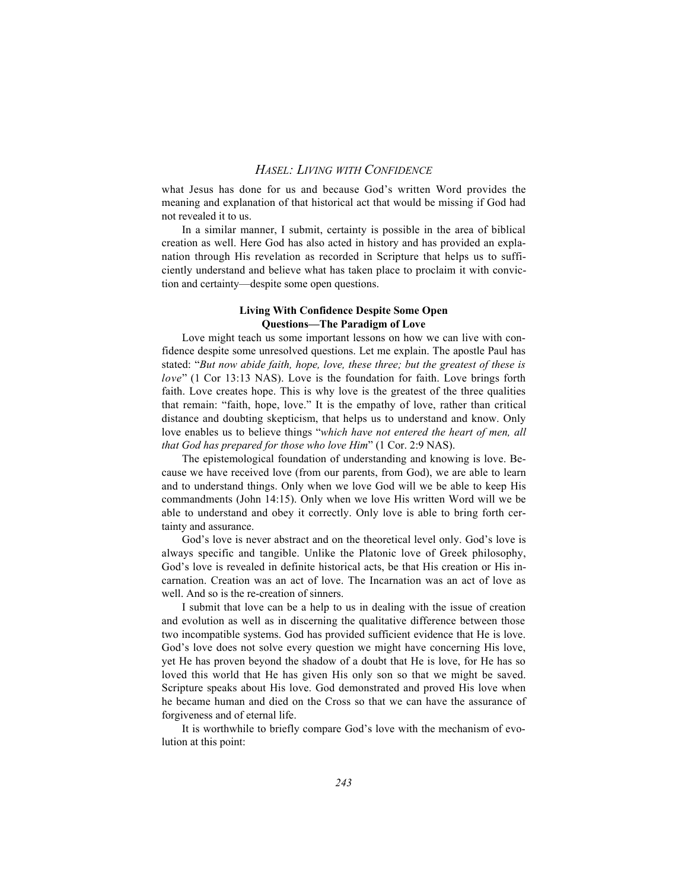what Jesus has done for us and because God's written Word provides the meaning and explanation of that historical act that would be missing if God had not revealed it to us.

In a similar manner, I submit, certainty is possible in the area of biblical creation as well. Here God has also acted in history and has provided an explanation through His revelation as recorded in Scripture that helps us to sufficiently understand and believe what has taken place to proclaim it with conviction and certainty—despite some open questions.

#### **Living With Confidence Despite Some Open Questions—The Paradigm of Love**

Love might teach us some important lessons on how we can live with confidence despite some unresolved questions. Let me explain. The apostle Paul has stated: "*But now abide faith, hope, love, these three; but the greatest of these is love*" (1 Cor 13:13 NAS). Love is the foundation for faith. Love brings forth faith. Love creates hope. This is why love is the greatest of the three qualities that remain: "faith, hope, love." It is the empathy of love, rather than critical distance and doubting skepticism, that helps us to understand and know. Only love enables us to believe things "*which have not entered the heart of men, all that God has prepared for those who love Him*" (1 Cor. 2:9 NAS).

The epistemological foundation of understanding and knowing is love. Because we have received love (from our parents, from God), we are able to learn and to understand things. Only when we love God will we be able to keep His commandments (John 14:15). Only when we love His written Word will we be able to understand and obey it correctly. Only love is able to bring forth certainty and assurance.

God's love is never abstract and on the theoretical level only. God's love is always specific and tangible. Unlike the Platonic love of Greek philosophy, God's love is revealed in definite historical acts, be that His creation or His incarnation. Creation was an act of love. The Incarnation was an act of love as well. And so is the re-creation of sinners.

I submit that love can be a help to us in dealing with the issue of creation and evolution as well as in discerning the qualitative difference between those two incompatible systems. God has provided sufficient evidence that He is love. God's love does not solve every question we might have concerning His love, yet He has proven beyond the shadow of a doubt that He is love, for He has so loved this world that He has given His only son so that we might be saved. Scripture speaks about His love. God demonstrated and proved His love when he became human and died on the Cross so that we can have the assurance of forgiveness and of eternal life.

It is worthwhile to briefly compare God's love with the mechanism of evolution at this point: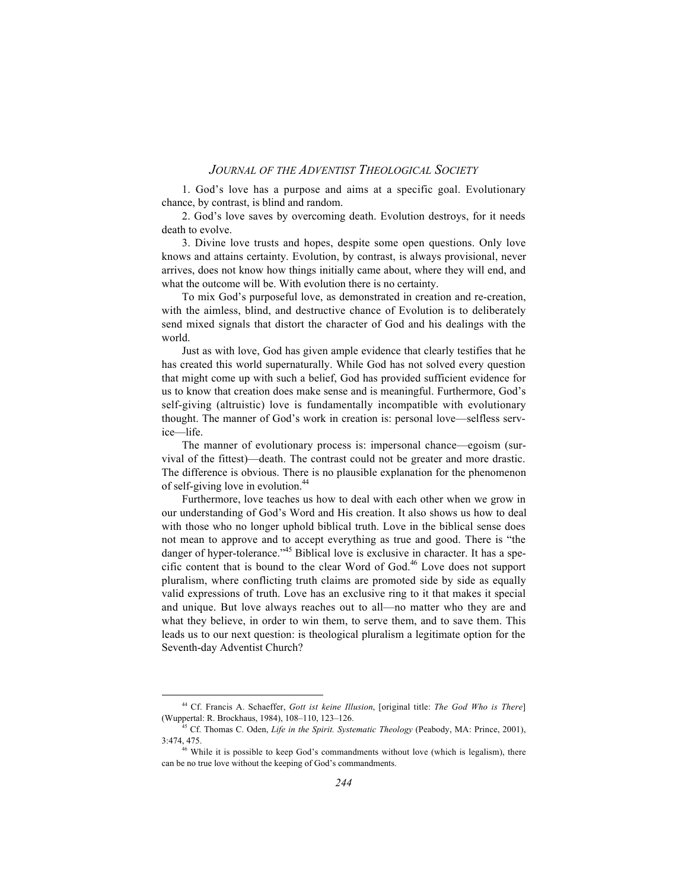1. God's love has a purpose and aims at a specific goal. Evolutionary chance, by contrast, is blind and random.

2. God's love saves by overcoming death. Evolution destroys, for it needs death to evolve.

3. Divine love trusts and hopes, despite some open questions. Only love knows and attains certainty. Evolution, by contrast, is always provisional, never arrives, does not know how things initially came about, where they will end, and what the outcome will be. With evolution there is no certainty.

To mix God's purposeful love, as demonstrated in creation and re-creation, with the aimless, blind, and destructive chance of Evolution is to deliberately send mixed signals that distort the character of God and his dealings with the world.

Just as with love, God has given ample evidence that clearly testifies that he has created this world supernaturally. While God has not solved every question that might come up with such a belief, God has provided sufficient evidence for us to know that creation does make sense and is meaningful. Furthermore, God's self-giving (altruistic) love is fundamentally incompatible with evolutionary thought. The manner of God's work in creation is: personal love—selfless service—life.

The manner of evolutionary process is: impersonal chance—egoism (survival of the fittest)—death. The contrast could not be greater and more drastic. The difference is obvious. There is no plausible explanation for the phenomenon of self-giving love in evolution.<sup>44</sup>

Furthermore, love teaches us how to deal with each other when we grow in our understanding of God's Word and His creation. It also shows us how to deal with those who no longer uphold biblical truth. Love in the biblical sense does not mean to approve and to accept everything as true and good. There is "the danger of hyper-tolerance.<sup>45</sup> Biblical love is exclusive in character. It has a specific content that is bound to the clear Word of  $God<sup>46</sup> Love does not support$ pluralism, where conflicting truth claims are promoted side by side as equally valid expressions of truth. Love has an exclusive ring to it that makes it special and unique. But love always reaches out to all—no matter who they are and what they believe, in order to win them, to serve them, and to save them. This leads us to our next question: is theological pluralism a legitimate option for the Seventh-day Adventist Church?

44 Cf. Francis A. Schaeffer, *Gott ist keine Illusion*, [original title: *The God Who is There*] (Wuppertal: R. Brockhaus, 1984), 108–110, 123–126.

<sup>45</sup> Cf. Thomas C. Oden, *Life in the Spirit. Systematic Theology* (Peabody, MA: Prince, 2001), 3:474, 475.

<sup>&</sup>lt;sup>46</sup> While it is possible to keep God's commandments without love (which is legalism), there can be no true love without the keeping of God's commandments.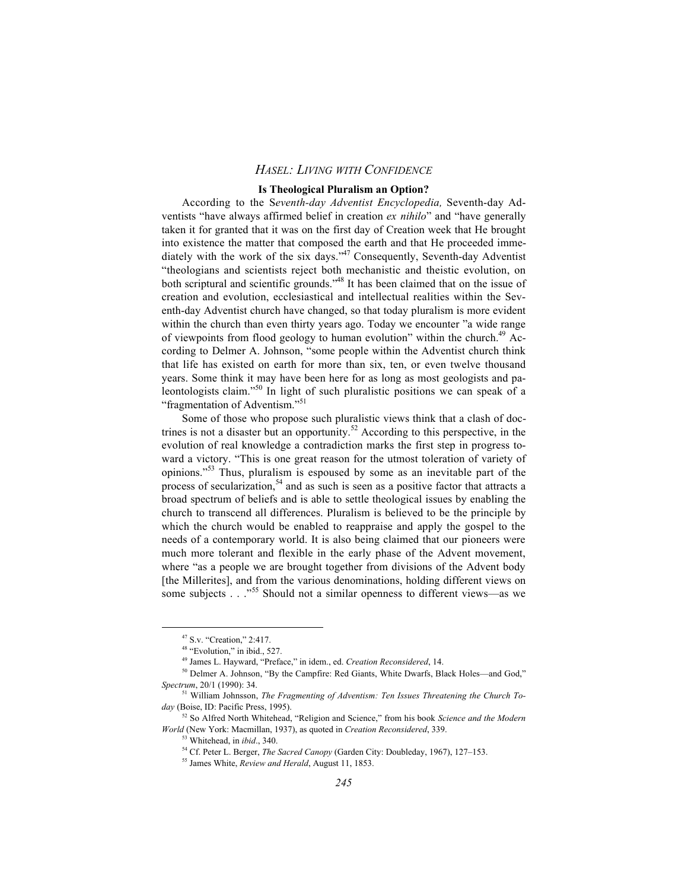#### **Is Theological Pluralism an Option?**

According to the S*eventh-day Adventist Encyclopedia,* Seventh-day Adventists "have always affirmed belief in creation *ex nihilo*" and "have generally taken it for granted that it was on the first day of Creation week that He brought into existence the matter that composed the earth and that He proceeded immediately with the work of the six days."47 Consequently, Seventh-day Adventist "theologians and scientists reject both mechanistic and theistic evolution, on both scriptural and scientific grounds."<sup>48</sup> It has been claimed that on the issue of creation and evolution, ecclesiastical and intellectual realities within the Seventh-day Adventist church have changed, so that today pluralism is more evident within the church than even thirty years ago. Today we encounter "a wide range of viewpoints from flood geology to human evolution" within the church.<sup>49</sup> According to Delmer A. Johnson, "some people within the Adventist church think that life has existed on earth for more than six, ten, or even twelve thousand years. Some think it may have been here for as long as most geologists and paleontologists claim."<sup>50</sup> In light of such pluralistic positions we can speak of a "fragmentation of Adventism."<sup>51</sup>

Some of those who propose such pluralistic views think that a clash of doctrines is not a disaster but an opportunity.<sup>52</sup> According to this perspective, in the evolution of real knowledge a contradiction marks the first step in progress toward a victory. "This is one great reason for the utmost toleration of variety of opinions."53 Thus, pluralism is espoused by some as an inevitable part of the process of secularization,<sup>54</sup> and as such is seen as a positive factor that attracts a broad spectrum of beliefs and is able to settle theological issues by enabling the church to transcend all differences. Pluralism is believed to be the principle by which the church would be enabled to reappraise and apply the gospel to the needs of a contemporary world. It is also being claimed that our pioneers were much more tolerant and flexible in the early phase of the Advent movement, where "as a people we are brought together from divisions of the Advent body [the Millerites], and from the various denominations, holding different views on some subjects . . ."<sup>55</sup> Should not a similar openness to different views—as we

47 S.v. "Creation," 2:417.

<sup>&</sup>lt;sup>48</sup> "Evolution," in ibid., 527.

<sup>49</sup> James L. Hayward, "Preface," in idem., ed. *Creation Reconsidered*, 14.

<sup>50</sup> Delmer A. Johnson, "By the Campfire: Red Giants, White Dwarfs, Black Holes—and God," *Spectrum*, 20/1 (1990): 34.

<sup>51</sup> William Johnsson, *The Fragmenting of Adventism: Ten Issues Threatening the Church Today* (Boise, ID: Pacific Press, 1995).

<sup>52</sup> So Alfred North Whitehead, "Religion and Science," from his book *Science and the Modern World* (New York: Macmillan, 1937), as quoted in *Creation Reconsidered*, 339.

<sup>53</sup> Whitehead, in *ibid*., 340.

<sup>54</sup> Cf. Peter L. Berger, *The Sacred Canopy* (Garden City: Doubleday, 1967), 127–153.

<sup>55</sup> James White, *Review and Herald*, August 11, 1853.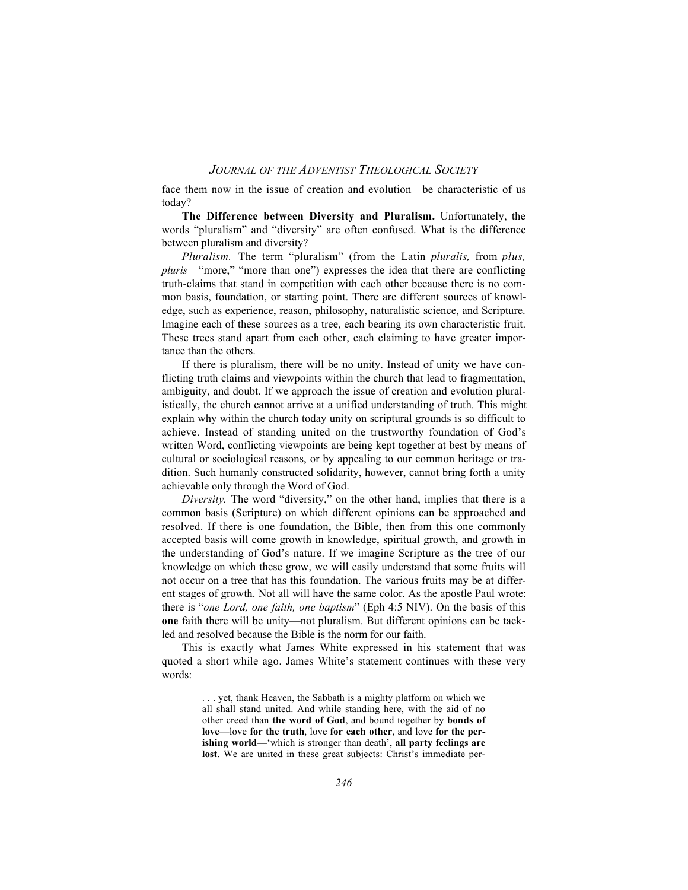face them now in the issue of creation and evolution—be characteristic of us today?

**The Difference between Diversity and Pluralism.** Unfortunately, the words "pluralism" and "diversity" are often confused. What is the difference between pluralism and diversity?

*Pluralism.* The term "pluralism" (from the Latin *pluralis,* from *plus, pluris*—"more," "more than one") expresses the idea that there are conflicting truth-claims that stand in competition with each other because there is no common basis, foundation, or starting point. There are different sources of knowledge, such as experience, reason, philosophy, naturalistic science, and Scripture. Imagine each of these sources as a tree, each bearing its own characteristic fruit. These trees stand apart from each other, each claiming to have greater importance than the others.

If there is pluralism, there will be no unity. Instead of unity we have conflicting truth claims and viewpoints within the church that lead to fragmentation, ambiguity, and doubt. If we approach the issue of creation and evolution pluralistically, the church cannot arrive at a unified understanding of truth. This might explain why within the church today unity on scriptural grounds is so difficult to achieve. Instead of standing united on the trustworthy foundation of God's written Word, conflicting viewpoints are being kept together at best by means of cultural or sociological reasons, or by appealing to our common heritage or tradition. Such humanly constructed solidarity, however, cannot bring forth a unity achievable only through the Word of God.

*Diversity.* The word "diversity," on the other hand, implies that there is a common basis (Scripture) on which different opinions can be approached and resolved. If there is one foundation, the Bible, then from this one commonly accepted basis will come growth in knowledge, spiritual growth, and growth in the understanding of God's nature. If we imagine Scripture as the tree of our knowledge on which these grow, we will easily understand that some fruits will not occur on a tree that has this foundation. The various fruits may be at different stages of growth. Not all will have the same color. As the apostle Paul wrote: there is "*one Lord, one faith, one baptism*" (Eph 4:5 NIV). On the basis of this **one** faith there will be unity—not pluralism. But different opinions can be tackled and resolved because the Bible is the norm for our faith.

This is exactly what James White expressed in his statement that was quoted a short while ago. James White's statement continues with these very words:

> yet, thank Heaven, the Sabbath is a mighty platform on which we all shall stand united. And while standing here, with the aid of no other creed than **the word of God**, and bound together by **bonds of love**—love **for the truth**, love **for each other**, and love **for the perishing world—**'which is stronger than death', **all party feelings are lost**. We are united in these great subjects: Christ's immediate per-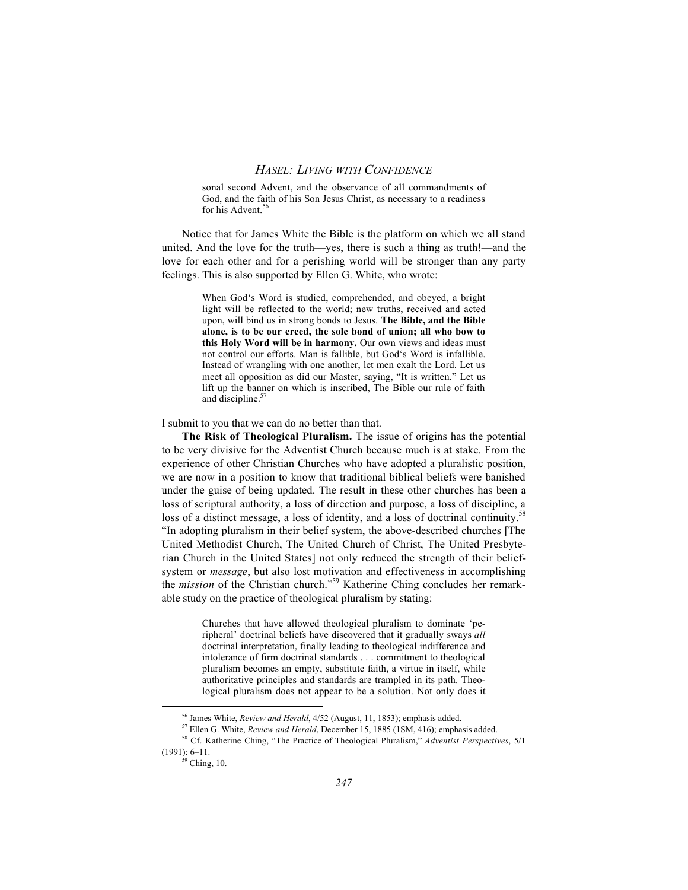sonal second Advent, and the observance of all commandments of God, and the faith of his Son Jesus Christ, as necessary to a readiness for his Advent.<sup>56</sup>

Notice that for James White the Bible is the platform on which we all stand united. And the love for the truth—yes, there is such a thing as truth!—and the love for each other and for a perishing world will be stronger than any party feelings. This is also supported by Ellen G. White, who wrote:

> When God's Word is studied, comprehended, and obeyed, a bright light will be reflected to the world; new truths, received and acted upon, will bind us in strong bonds to Jesus. **The Bible, and the Bible alone, is to be our creed, the sole bond of union; all who bow to this Holy Word will be in harmony.** Our own views and ideas must not control our efforts. Man is fallible, but God's Word is infallible. Instead of wrangling with one another, let men exalt the Lord. Let us meet all opposition as did our Master, saying, "It is written." Let us lift up the banner on which is inscribed, The Bible our rule of faith and discipline.<sup>57</sup>

I submit to you that we can do no better than that.

**The Risk of Theological Pluralism.** The issue of origins has the potential to be very divisive for the Adventist Church because much is at stake. From the experience of other Christian Churches who have adopted a pluralistic position, we are now in a position to know that traditional biblical beliefs were banished under the guise of being updated. The result in these other churches has been a loss of scriptural authority, a loss of direction and purpose, a loss of discipline, a loss of a distinct message, a loss of identity, and a loss of doctrinal continuity.<sup>58</sup> "In adopting pluralism in their belief system, the above-described churches [The United Methodist Church, The United Church of Christ, The United Presbyterian Church in the United States] not only reduced the strength of their beliefsystem or *message*, but also lost motivation and effectiveness in accomplishing the *mission* of the Christian church."59 Katherine Ching concludes her remarkable study on the practice of theological pluralism by stating:

> Churches that have allowed theological pluralism to dominate 'peripheral' doctrinal beliefs have discovered that it gradually sways *all* doctrinal interpretation, finally leading to theological indifference and intolerance of firm doctrinal standards . . . commitment to theological pluralism becomes an empty, substitute faith, a virtue in itself, while authoritative principles and standards are trampled in its path. Theological pluralism does not appear to be a solution. Not only does it

56 James White, *Review and Herald*, 4/52 (August, 11, 1853); emphasis added.

<sup>57</sup> Ellen G. White, *Review and Herald*, December 15, 1885 (1SM, 416); emphasis added.

<sup>58</sup> Cf. Katherine Ching, "The Practice of Theological Pluralism," *Adventist Perspectives*, 5/1 (1991): 6–11.

 $59$  Ching, 10.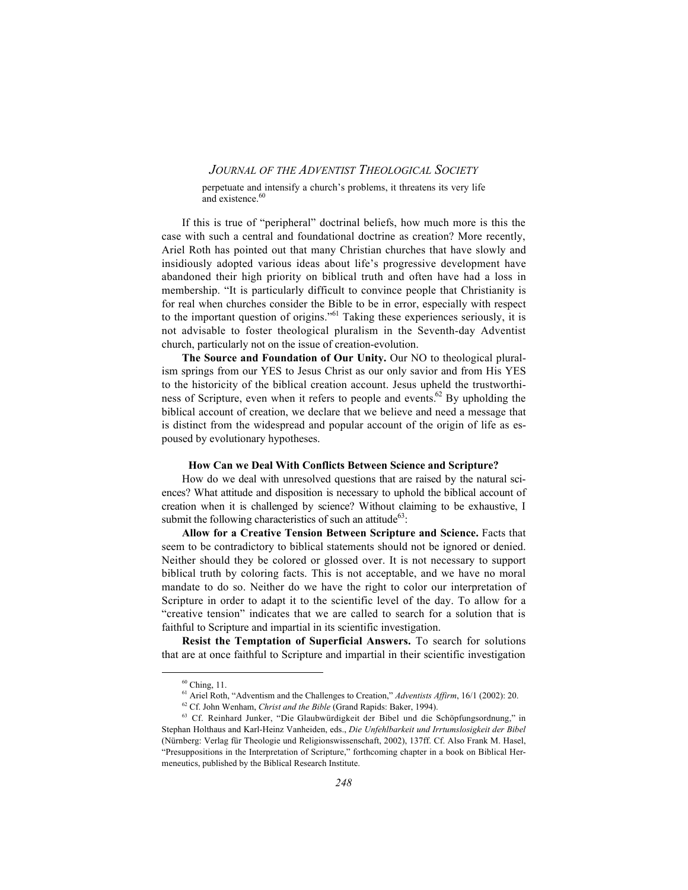perpetuate and intensify a church's problems, it threatens its very life and existence.<sup>60</sup>

If this is true of "peripheral" doctrinal beliefs, how much more is this the case with such a central and foundational doctrine as creation? More recently, Ariel Roth has pointed out that many Christian churches that have slowly and insidiously adopted various ideas about life's progressive development have abandoned their high priority on biblical truth and often have had a loss in membership. "It is particularly difficult to convince people that Christianity is for real when churches consider the Bible to be in error, especially with respect to the important question of origins."61 Taking these experiences seriously, it is not advisable to foster theological pluralism in the Seventh-day Adventist church, particularly not on the issue of creation-evolution.

The Source and Foundation of Our Unity. Our NO to theological pluralism springs from our YES to Jesus Christ as our only savior and from His YES to the historicity of the biblical creation account. Jesus upheld the trustworthiness of Scripture, even when it refers to people and events.<sup>62</sup> By upholding the biblical account of creation, we declare that we believe and need a message that is distinct from the widespread and popular account of the origin of life as espoused by evolutionary hypotheses.

#### **How Can we Deal With Conflicts Between Science and Scripture?**

How do we deal with unresolved questions that are raised by the natural sciences? What attitude and disposition is necessary to uphold the biblical account of creation when it is challenged by science? Without claiming to be exhaustive, I submit the following characteristics of such an attitude<sup>63</sup>:

**Allow for a Creative Tension Between Scripture and Science.** Facts that seem to be contradictory to biblical statements should not be ignored or denied. Neither should they be colored or glossed over. It is not necessary to support biblical truth by coloring facts. This is not acceptable, and we have no moral mandate to do so. Neither do we have the right to color our interpretation of Scripture in order to adapt it to the scientific level of the day. To allow for a "creative tension" indicates that we are called to search for a solution that is faithful to Scripture and impartial in its scientific investigation.

**Resist the Temptation of Superficial Answers.** To search for solutions that are at once faithful to Scripture and impartial in their scientific investigation

 $60$  Ching, 11.

<sup>61</sup> Ariel Roth, "Adventism and the Challenges to Creation," *Adventists Affirm*, 16/1 (2002): 20.

<sup>62</sup> Cf. John Wenham, *Christ and the Bible* (Grand Rapids: Baker, 1994).

<sup>63</sup> Cf. Reinhard Junker, "Die Glaubwürdigkeit der Bibel und die Schöpfungsordnung," in Stephan Holthaus and Karl-Heinz Vanheiden, eds., *Die Unfehlbarkeit und Irrtumslosigkeit der Bibel* (Nürnberg: Verlag für Theologie und Religionswissenschaft, 2002), 137ff. Cf. Also Frank M. Hasel, "Presuppositions in the Interpretation of Scripture," forthcoming chapter in a book on Biblical Hermeneutics, published by the Biblical Research Institute.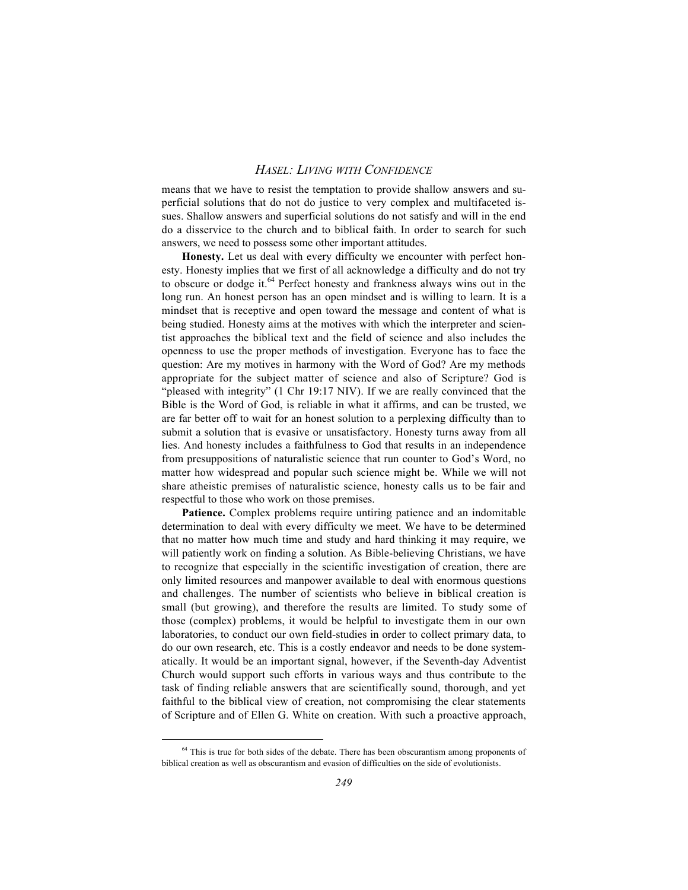means that we have to resist the temptation to provide shallow answers and superficial solutions that do not do justice to very complex and multifaceted issues. Shallow answers and superficial solutions do not satisfy and will in the end do a disservice to the church and to biblical faith. In order to search for such answers, we need to possess some other important attitudes.

Honesty. Let us deal with every difficulty we encounter with perfect honesty. Honesty implies that we first of all acknowledge a difficulty and do not try to obscure or dodge it. $64$  Perfect honesty and frankness always wins out in the long run. An honest person has an open mindset and is willing to learn. It is a mindset that is receptive and open toward the message and content of what is being studied. Honesty aims at the motives with which the interpreter and scientist approaches the biblical text and the field of science and also includes the openness to use the proper methods of investigation. Everyone has to face the question: Are my motives in harmony with the Word of God? Are my methods appropriate for the subject matter of science and also of Scripture? God is "pleased with integrity" (1 Chr 19:17 NIV). If we are really convinced that the Bible is the Word of God, is reliable in what it affirms, and can be trusted, we are far better off to wait for an honest solution to a perplexing difficulty than to submit a solution that is evasive or unsatisfactory. Honesty turns away from all lies. And honesty includes a faithfulness to God that results in an independence from presuppositions of naturalistic science that run counter to God's Word, no matter how widespread and popular such science might be. While we will not share atheistic premises of naturalistic science, honesty calls us to be fair and respectful to those who work on those premises.

Patience. Complex problems require untiring patience and an indomitable determination to deal with every difficulty we meet. We have to be determined that no matter how much time and study and hard thinking it may require, we will patiently work on finding a solution. As Bible-believing Christians, we have to recognize that especially in the scientific investigation of creation, there are only limited resources and manpower available to deal with enormous questions and challenges. The number of scientists who believe in biblical creation is small (but growing), and therefore the results are limited. To study some of those (complex) problems, it would be helpful to investigate them in our own laboratories, to conduct our own field-studies in order to collect primary data, to do our own research, etc. This is a costly endeavor and needs to be done systematically. It would be an important signal, however, if the Seventh-day Adventist Church would support such efforts in various ways and thus contribute to the task of finding reliable answers that are scientifically sound, thorough, and yet faithful to the biblical view of creation, not compromising the clear statements of Scripture and of Ellen G. White on creation. With such a proactive approach,

<sup>&</sup>lt;sup>64</sup> This is true for both sides of the debate. There has been obscurantism among proponents of biblical creation as well as obscurantism and evasion of difficulties on the side of evolutionists.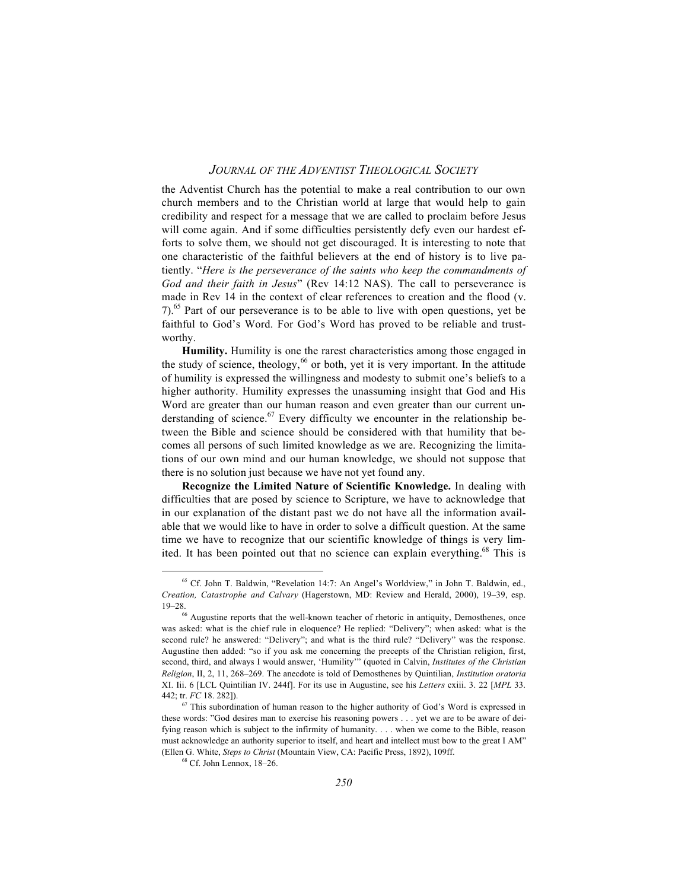the Adventist Church has the potential to make a real contribution to our own church members and to the Christian world at large that would help to gain credibility and respect for a message that we are called to proclaim before Jesus will come again. And if some difficulties persistently defy even our hardest efforts to solve them, we should not get discouraged. It is interesting to note that one characteristic of the faithful believers at the end of history is to live patiently. "*Here is the perseverance of the saints who keep the commandments of God and their faith in Jesus*" (Rev 14:12 NAS). The call to perseverance is made in Rev 14 in the context of clear references to creation and the flood (v. 7).65 Part of our perseverance is to be able to live with open questions, yet be faithful to God's Word. For God's Word has proved to be reliable and trustworthy.

**Humility.** Humility is one the rarest characteristics among those engaged in the study of science, theology,  $66$  or both, yet it is very important. In the attitude of humility is expressed the willingness and modesty to submit one's beliefs to a higher authority. Humility expresses the unassuming insight that God and His Word are greater than our human reason and even greater than our current understanding of science.<sup>67</sup> Every difficulty we encounter in the relationship between the Bible and science should be considered with that humility that becomes all persons of such limited knowledge as we are. Recognizing the limitations of our own mind and our human knowledge, we should not suppose that there is no solution just because we have not yet found any.

**Recognize the Limited Nature of Scientific Knowledge.** In dealing with difficulties that are posed by science to Scripture, we have to acknowledge that in our explanation of the distant past we do not have all the information available that we would like to have in order to solve a difficult question. At the same time we have to recognize that our scientific knowledge of things is very limited. It has been pointed out that no science can explain everything.<sup>68</sup> This is

65 Cf. John T. Baldwin, "Revelation 14:7: An Angel's Worldview," in John T. Baldwin, ed., *Creation, Catastrophe and Calvary* (Hagerstown, MD: Review and Herald, 2000), 19–39, esp.

 $19-28$ .<br><sup>66</sup> Augustine reports that the well-known teacher of rhetoric in antiquity, Demosthenes, once was asked: what is the chief rule in eloquence? He replied: "Delivery"; when asked: what is the second rule? he answered: "Delivery"; and what is the third rule? "Delivery" was the response. Augustine then added: "so if you ask me concerning the precepts of the Christian religion, first, second, third, and always I would answer, 'Humility'" (quoted in Calvin, *Institutes of the Christian Religion*, II, 2, 11, 268–269. The anecdote is told of Demosthenes by Quintilian, *Institution oratoria* XI. Iii. 6 [LCL Quintilian IV. 244f]. For its use in Augustine, see his *Letters* cxiii. 3. 22 [*MPL* 33. 442; tr. *FC* 18. 282]).

<sup>67</sup> This subordination of human reason to the higher authority of God's Word is expressed in these words: "God desires man to exercise his reasoning powers . . . yet we are to be aware of deifying reason which is subject to the infirmity of humanity. . . . when we come to the Bible, reason must acknowledge an authority superior to itself, and heart and intellect must bow to the great I AM" (Ellen G. White, *Steps to Christ* (Mountain View, CA: Pacific Press, 1892), 109ff.

<sup>68</sup> Cf. John Lennox, 18–26.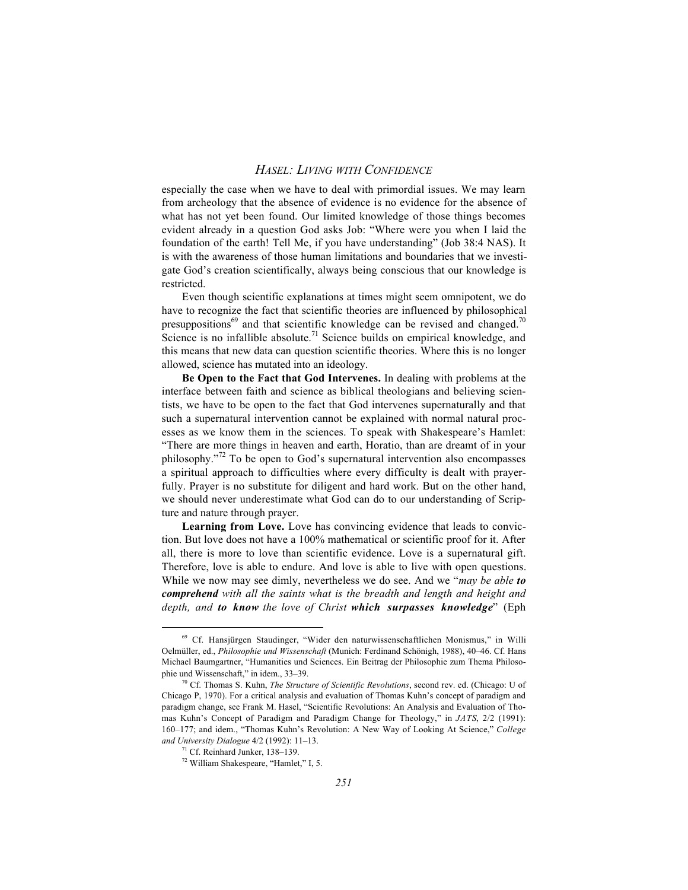especially the case when we have to deal with primordial issues. We may learn from archeology that the absence of evidence is no evidence for the absence of what has not yet been found. Our limited knowledge of those things becomes evident already in a question God asks Job: "Where were you when I laid the foundation of the earth! Tell Me, if you have understanding" (Job 38:4 NAS). It is with the awareness of those human limitations and boundaries that we investigate God's creation scientifically, always being conscious that our knowledge is restricted.

Even though scientific explanations at times might seem omnipotent, we do have to recognize the fact that scientific theories are influenced by philosophical presuppositions<sup>69</sup> and that scientific knowledge can be revised and changed.<sup>70</sup> Science is no infallible absolute.<sup>71</sup> Science builds on empirical knowledge, and this means that new data can question scientific theories. Where this is no longer allowed, science has mutated into an ideology.

**Be Open to the Fact that God Intervenes.** In dealing with problems at the interface between faith and science as biblical theologians and believing scientists, we have to be open to the fact that God intervenes supernaturally and that such a supernatural intervention cannot be explained with normal natural processes as we know them in the sciences. To speak with Shakespeare's Hamlet: "There are more things in heaven and earth, Horatio, than are dreamt of in your philosophy."72 To be open to God's supernatural intervention also encompasses a spiritual approach to difficulties where every difficulty is dealt with prayerfully. Prayer is no substitute for diligent and hard work. But on the other hand, we should never underestimate what God can do to our understanding of Scripture and nature through prayer.

**Learning from Love.** Love has convincing evidence that leads to conviction. But love does not have a 100% mathematical or scientific proof for it. After all, there is more to love than scientific evidence. Love is a supernatural gift. Therefore, love is able to endure. And love is able to live with open questions. While we now may see dimly, nevertheless we do see. And we "*may be able to comprehend with all the saints what is the breadth and length and height and depth, and to know the love of Christ which surpasses knowledge*" (Eph

69 Cf. Hansjürgen Staudinger, "Wider den naturwissenschaftlichen Monismus," in Willi Oelmüller, ed., *Philosophie und Wissenschaft* (Munich: Ferdinand Schönigh, 1988), 40–46. Cf. Hans Michael Baumgartner, "Humanities und Sciences. Ein Beitrag der Philosophie zum Thema Philosophie und Wissenschaft," in idem., 33–39.

<sup>70</sup> Cf. Thomas S. Kuhn, *The Structure of Scientific Revolutions*, second rev. ed. (Chicago: U of Chicago P, 1970). For a critical analysis and evaluation of Thomas Kuhn's concept of paradigm and paradigm change, see Frank M. Hasel, "Scientific Revolutions: An Analysis and Evaluation of Thomas Kuhn's Concept of Paradigm and Paradigm Change for Theology," in *JATS*, 2/2 (1991): 160–177; and idem., "Thomas Kuhn's Revolution: A New Way of Looking At Science," *College and University Dialogue* 4/2 (1992): 11–13.

<sup>71</sup> Cf. Reinhard Junker, 138–139.

<sup>72</sup> William Shakespeare, "Hamlet," I, 5.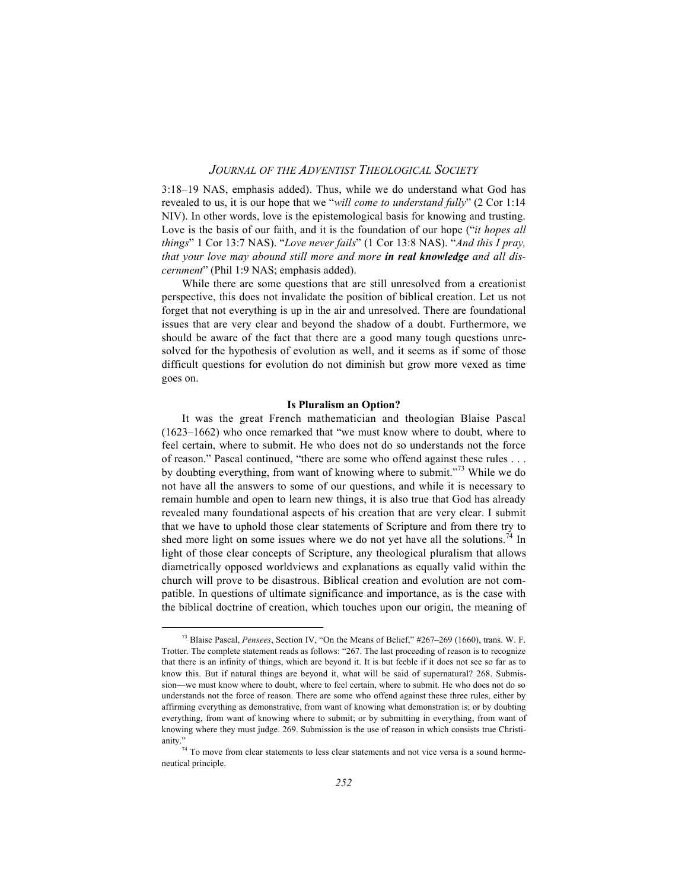3:18–19 NAS, emphasis added). Thus, while we do understand what God has revealed to us, it is our hope that we "*will come to understand fully*" (2 Cor 1:14 NIV). In other words, love is the epistemological basis for knowing and trusting. Love is the basis of our faith, and it is the foundation of our hope ("*it hopes all things*" 1 Cor 13:7 NAS). "*Love never fails*" (1 Cor 13:8 NAS). "*And this I pray, that your love may abound still more and more in real knowledge and all discernment*" (Phil 1:9 NAS; emphasis added).

While there are some questions that are still unresolved from a creationist perspective, this does not invalidate the position of biblical creation. Let us not forget that not everything is up in the air and unresolved. There are foundational issues that are very clear and beyond the shadow of a doubt. Furthermore, we should be aware of the fact that there are a good many tough questions unresolved for the hypothesis of evolution as well, and it seems as if some of those difficult questions for evolution do not diminish but grow more vexed as time goes on.

#### **Is Pluralism an Option?**

It was the great French mathematician and theologian Blaise Pascal (1623–1662) who once remarked that "we must know where to doubt, where to feel certain, where to submit. He who does not do so understands not the force of reason." Pascal continued, "there are some who offend against these rules . . . by doubting everything, from want of knowing where to submit."<sup>73</sup> While we do not have all the answers to some of our questions, and while it is necessary to remain humble and open to learn new things, it is also true that God has already revealed many foundational aspects of his creation that are very clear. I submit that we have to uphold those clear statements of Scripture and from there try to shed more light on some issues where we do not yet have all the solutions.<sup>74</sup> In light of those clear concepts of Scripture, any theological pluralism that allows diametrically opposed worldviews and explanations as equally valid within the church will prove to be disastrous. Biblical creation and evolution are not compatible. In questions of ultimate significance and importance, as is the case with the biblical doctrine of creation, which touches upon our origin, the meaning of

73 Blaise Pascal, *Pensees*, Section IV, "On the Means of Belief," #267–269 (1660), trans. W. F. Trotter. The complete statement reads as follows: "267. The last proceeding of reason is to recognize that there is an infinity of things, which are beyond it. It is but feeble if it does not see so far as to know this. But if natural things are beyond it, what will be said of supernatural? 268. Submission—we must know where to doubt, where to feel certain, where to submit. He who does not do so understands not the force of reason. There are some who offend against these three rules, either by affirming everything as demonstrative, from want of knowing what demonstration is; or by doubting everything, from want of knowing where to submit; or by submitting in everything, from want of knowing where they must judge. 269. Submission is the use of reason in which consists true Christianity."<br> $^{74}$  To move from clear statements to less clear statements and not vice versa is a sound herme-

neutical principle.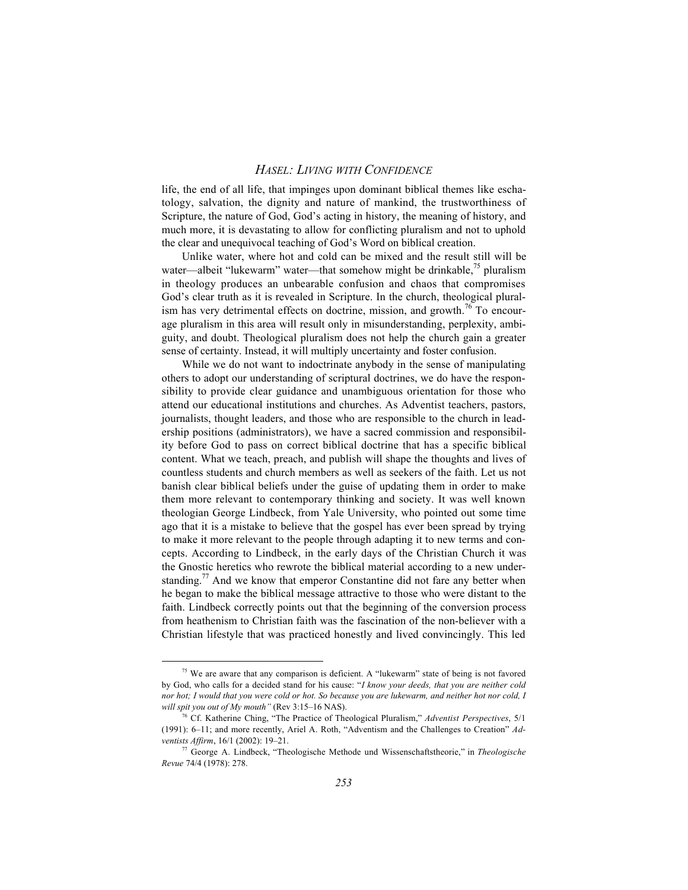life, the end of all life, that impinges upon dominant biblical themes like eschatology, salvation, the dignity and nature of mankind, the trustworthiness of Scripture, the nature of God, God's acting in history, the meaning of history, and much more, it is devastating to allow for conflicting pluralism and not to uphold the clear and unequivocal teaching of God's Word on biblical creation.

Unlike water, where hot and cold can be mixed and the result still will be water—albeit "lukewarm" water—that somehow might be drinkable,<sup>75</sup> pluralism in theology produces an unbearable confusion and chaos that compromises God's clear truth as it is revealed in Scripture. In the church, theological pluralism has very detrimental effects on doctrine, mission, and growth.<sup>76</sup> To encourage pluralism in this area will result only in misunderstanding, perplexity, ambiguity, and doubt. Theological pluralism does not help the church gain a greater sense of certainty. Instead, it will multiply uncertainty and foster confusion.

While we do not want to indoctrinate anybody in the sense of manipulating others to adopt our understanding of scriptural doctrines, we do have the responsibility to provide clear guidance and unambiguous orientation for those who attend our educational institutions and churches. As Adventist teachers, pastors, journalists, thought leaders, and those who are responsible to the church in leadership positions (administrators), we have a sacred commission and responsibility before God to pass on correct biblical doctrine that has a specific biblical content. What we teach, preach, and publish will shape the thoughts and lives of countless students and church members as well as seekers of the faith. Let us not banish clear biblical beliefs under the guise of updating them in order to make them more relevant to contemporary thinking and society. It was well known theologian George Lindbeck, from Yale University, who pointed out some time ago that it is a mistake to believe that the gospel has ever been spread by trying to make it more relevant to the people through adapting it to new terms and concepts. According to Lindbeck, in the early days of the Christian Church it was the Gnostic heretics who rewrote the biblical material according to a new understanding.<sup>77</sup> And we know that emperor Constantine did not fare any better when he began to make the biblical message attractive to those who were distant to the faith. Lindbeck correctly points out that the beginning of the conversion process from heathenism to Christian faith was the fascination of the non-believer with a Christian lifestyle that was practiced honestly and lived convincingly. This led

75 We are aware that any comparison is deficient. A "lukewarm" state of being is not favored by God, who calls for a decided stand for his cause: "*I know your deeds, that you are neither cold nor hot; I would that you were cold or hot. So because you are lukewarm, and neither hot nor cold, I will spit you out of My mouth"* (Rev 3:15–16 NAS).

<sup>76</sup> Cf. Katherine Ching, "The Practice of Theological Pluralism," *Adventist Perspectives*, 5/1 (1991): 6–11; and more recently, Ariel A. Roth, "Adventism and the Challenges to Creation" *Adventists Affirm*, 16/1 (2002): 19–21.

<sup>77</sup> George A. Lindbeck, "Theologische Methode und Wissenschaftstheorie," in *Theologische Revue* 74/4 (1978): 278.